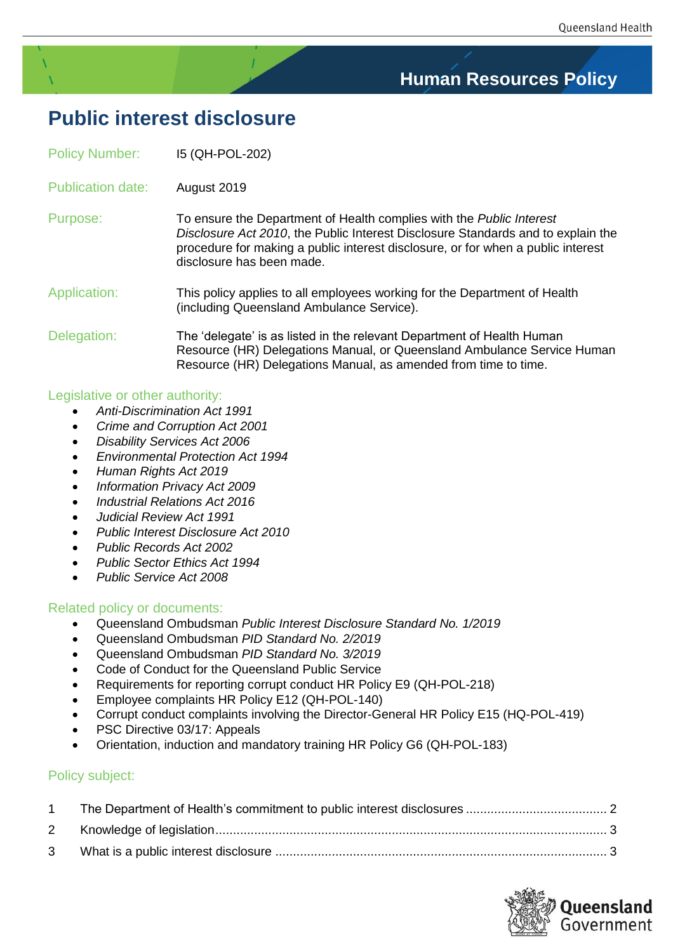# **Human Resources Policy**

# **Public interest disclosure**

| <b>Policy Number:</b>    | 15 (QH-POL-202)                                                                                                                                                                                                                                                                  |
|--------------------------|----------------------------------------------------------------------------------------------------------------------------------------------------------------------------------------------------------------------------------------------------------------------------------|
| <b>Publication date:</b> | August 2019                                                                                                                                                                                                                                                                      |
| Purpose:                 | To ensure the Department of Health complies with the <i>Public Interest</i><br>Disclosure Act 2010, the Public Interest Disclosure Standards and to explain the<br>procedure for making a public interest disclosure, or for when a public interest<br>disclosure has been made. |
| Application:             | This policy applies to all employees working for the Department of Health<br>(including Queensland Ambulance Service).                                                                                                                                                           |
| Delegation:              | The 'delegate' is as listed in the relevant Department of Health Human<br>Resource (HR) Delegations Manual, or Queensland Ambulance Service Human<br>Resource (HR) Delegations Manual, as amended from time to time.                                                             |

## Legislative or other authority:

- *Anti-Discrimination Act 1991*
- *[Crime and Corruption Act 2001](https://www.legislation.qld.gov.au/Acts_SLs/Acts_SL.htm)*
- *[Disability Services Act 2006](https://www.legislation.qld.gov.au/Acts_SLs/Acts_SL.htm)*
- *[Environmental Protection Act 1994](https://www.legislation.qld.gov.au/Acts_SLs/Acts_SL.htm)*
- *[Human Rights Act 2019](https://www.legislation.qld.gov.au/Acts_SLs/Acts_SL.htm)*
- *[Information Privacy Act 2009](https://www.legislation.qld.gov.au/Acts_SLs/Acts_SL.htm)*
- *[Industrial Relations Act 2016](https://www.legislation.qld.gov.au/Acts_SLs/Acts_SL.htm)*
- *[Judicial Review Act 1991](https://www.legislation.qld.gov.au/Acts_SLs/Acts_SL.htm)*
- *[Public Interest Disclosure Act 2010](https://www.legislation.qld.gov.au/Acts_SLs/Acts_SL.htm)*
- *[Public Records Act 2002](https://www.legislation.qld.gov.au/Acts_SLs/Acts_SL.htm)*
- *[Public Sector Ethics Act 1994](https://www.legislation.qld.gov.au/Acts_SLs/Acts_SL.htm)*
- *[Public Service Act 2008](https://www.legislation.qld.gov.au/Acts_SLs/Acts_SL.htm)*

## Related policy or documents:

- Queensland Ombudsman *Public Interest Disclosure Standard No. 1/2019*
- Queensland Ombudsman *PID Standard No. 2/2019*
- Queensland Ombudsman *PID Standard No. 3/2019*
- [Code of Conduct for the Queensland Public Service](http://www.psc.qld.gov.au/includes/assets/qps-code-conduct.pdf)
- Requirements for reporting corrupt conduct HR Policy E9 (QH-POL-218)
- Employee complaints HR Policy E12 (QH-POL-140)
- Corrupt conduct complaints involving the Director-General HR Policy E15 (HQ-POL-419)
- PSC [Directive 03/17:](http://www.psc.qld.gov.au/publications/directives.aspx) Appeals
- Orientation, induction and mandatory training HR Policy G6 (QH-POL-183)

## Policy subject:

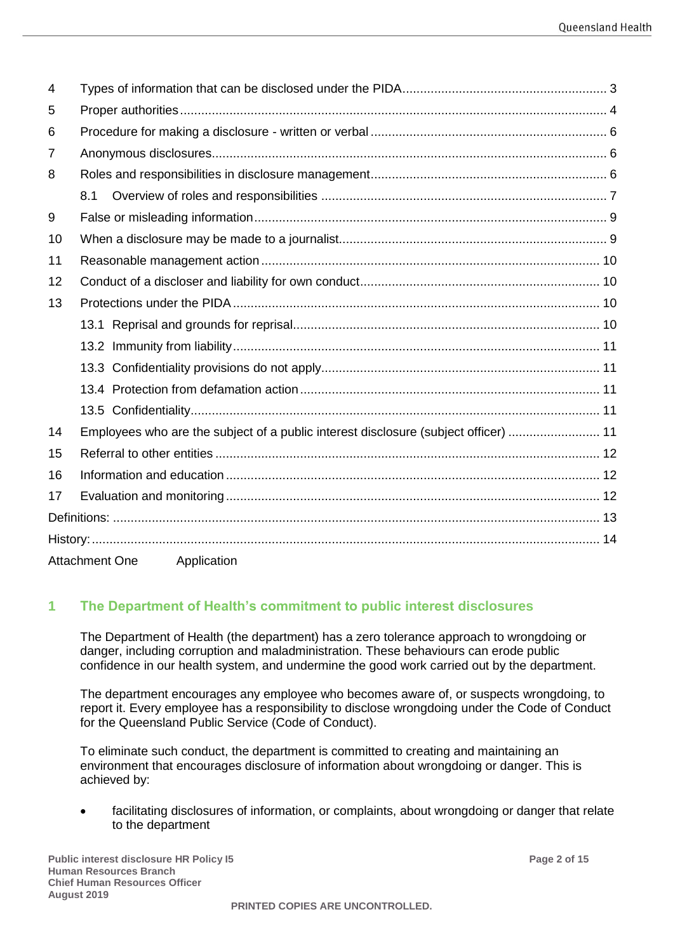| 4  |                                                                                     |  |
|----|-------------------------------------------------------------------------------------|--|
| 5  |                                                                                     |  |
| 6  |                                                                                     |  |
| 7  |                                                                                     |  |
| 8  |                                                                                     |  |
|    | 8.1                                                                                 |  |
| 9  |                                                                                     |  |
| 10 |                                                                                     |  |
| 11 |                                                                                     |  |
| 12 |                                                                                     |  |
| 13 |                                                                                     |  |
|    |                                                                                     |  |
|    |                                                                                     |  |
|    |                                                                                     |  |
|    |                                                                                     |  |
|    |                                                                                     |  |
| 14 | Employees who are the subject of a public interest disclosure (subject officer)  11 |  |
| 15 |                                                                                     |  |
| 16 |                                                                                     |  |
| 17 |                                                                                     |  |
|    |                                                                                     |  |
|    |                                                                                     |  |
|    | Attachment One Application                                                          |  |

# <span id="page-1-0"></span>**1 The Department of Health's commitment to public interest disclosures**

The Department of Health (the department) has a zero tolerance approach to wrongdoing or danger, including corruption and maladministration. These behaviours can erode public confidence in our health system, and undermine the good work carried out by the department.

The department encourages any employee who becomes aware of, or suspects wrongdoing, to report it. Every employee has a responsibility to disclose wrongdoing under the Code of Conduct for the Queensland Public Service (Code of Conduct).

To eliminate such conduct, the department is committed to creating and maintaining an environment that encourages disclosure of information about wrongdoing or danger. This is achieved by:

facilitating disclosures of information, or complaints, about wrongdoing or danger that relate to the department

**Public interest disclosure HR Policy I5 Page 2 of 15 Human Resources Branch Chief Human Resources Officer August 2019**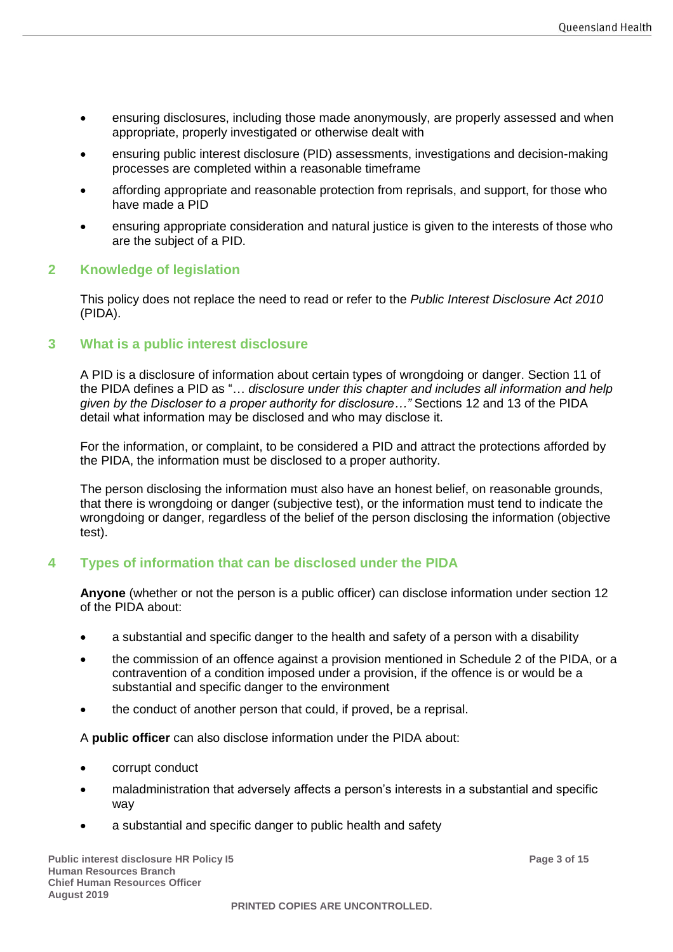- ensuring disclosures, including those made anonymously, are properly assessed and when appropriate, properly investigated or otherwise dealt with
- ensuring public interest disclosure (PID) assessments, investigations and decision-making processes are completed within a reasonable timeframe
- affording appropriate and reasonable protection from reprisals, and support, for those who have made a PID
- ensuring appropriate consideration and natural justice is given to the interests of those who are the subject of a PID.

#### <span id="page-2-0"></span>**2 Knowledge of legislation**

This policy does not replace the need to read or refer to the *Public Interest Disclosure Act 2010* (PIDA).

#### <span id="page-2-1"></span>**3 What is a public interest disclosure**

A PID is a disclosure of information about certain types of wrongdoing or danger. Section 11 of the PIDA defines a PID as "… *disclosure under this chapter and includes all information and help given by the Discloser to a proper authority for disclosure…"* Sections 12 and 13 of the PIDA detail what information may be disclosed and who may disclose it.

For the information, or complaint, to be considered a PID and attract the protections afforded by the PIDA, the information must be disclosed to a proper authority.

The person disclosing the information must also have an honest belief, on reasonable grounds, that there is wrongdoing or danger (subjective test), or the information must tend to indicate the wrongdoing or danger, regardless of the belief of the person disclosing the information (objective test).

## <span id="page-2-2"></span>**4 Types of information that can be disclosed under the PIDA**

**Anyone** (whether or not the person is a public officer) can disclose information under section 12 of the PIDA about:

- a substantial and specific danger to the health and safety of a person with a disability
- the commission of an offence against a provision mentioned in Schedule 2 of the PIDA, or a contravention of a condition imposed under a provision, if the offence is or would be a substantial and specific danger to the environment
- the conduct of another person that could, if proved, be a reprisal.

A **public officer** can also disclose information under the PIDA about:

- corrupt conduct
- maladministration that adversely affects a person's interests in a substantial and specific way
- a substantial and specific danger to public health and safety

**Public interest disclosure HR Policy I5 Page 3 of 15 Human Resources Branch Chief Human Resources Officer August 2019**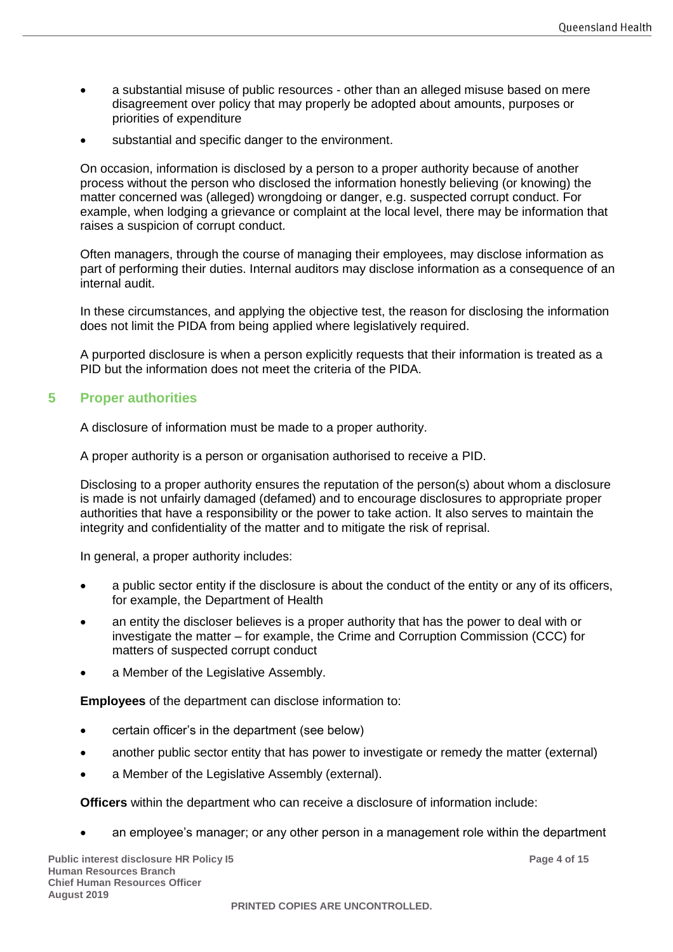- a substantial misuse of public resources other than an alleged misuse based on mere disagreement over policy that may properly be adopted about amounts, purposes or priorities of expenditure
- substantial and specific danger to the environment.

On occasion, information is disclosed by a person to a proper authority because of another process without the person who disclosed the information honestly believing (or knowing) the matter concerned was (alleged) wrongdoing or danger, e.g. suspected corrupt conduct. For example, when lodging a grievance or complaint at the local level, there may be information that raises a suspicion of corrupt conduct.

Often managers, through the course of managing their employees, may disclose information as part of performing their duties. Internal auditors may disclose information as a consequence of an internal audit.

In these circumstances, and applying the objective test, the reason for disclosing the information does not limit the PIDA from being applied where legislatively required.

A purported disclosure is when a person explicitly requests that their information is treated as a PID but the information does not meet the criteria of the PIDA.

## <span id="page-3-0"></span>**5 Proper authorities**

A disclosure of information must be made to a proper authority.

A proper authority is a person or organisation authorised to receive a PID.

Disclosing to a proper authority ensures the reputation of the person(s) about whom a disclosure is made is not unfairly damaged (defamed) and to encourage disclosures to appropriate proper authorities that have a responsibility or the power to take action. It also serves to maintain the integrity and confidentiality of the matter and to mitigate the risk of reprisal.

In general, a proper authority includes:

- a public sector entity if the disclosure is about the conduct of the entity or any of its officers, for example, the Department of Health
- an entity the discloser believes is a proper authority that has the power to deal with or investigate the matter – for example, the Crime and Corruption Commission (CCC) for matters of suspected corrupt conduct
- a Member of the Legislative Assembly.

**Employees** of the department can disclose information to:

- certain officer's in the department (see below)
- another public sector entity that has power to investigate or remedy the matter (external)
- a Member of the Legislative Assembly (external).

**Officers** within the department who can receive a disclosure of information include:

• an employee's manager; or any other person in a management role within the department

**Public interest disclosure HR Policy I5 Page 4 of 15 Human Resources Branch Chief Human Resources Officer August 2019**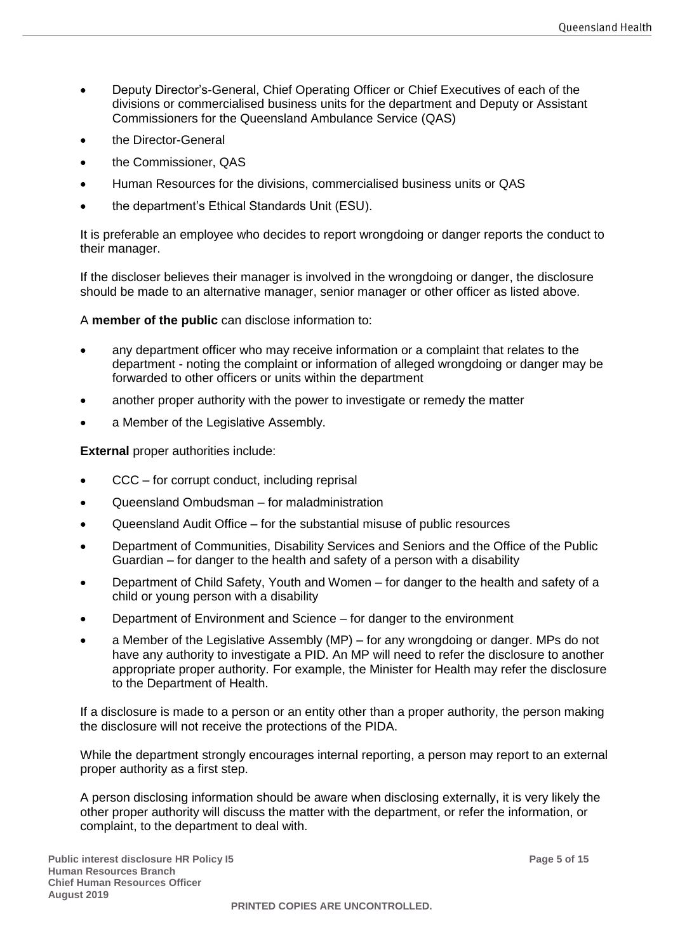- Deputy Director's-General, Chief Operating Officer or Chief Executives of each of the divisions or commercialised business units for the department and Deputy or Assistant Commissioners for the Queensland Ambulance Service (QAS)
- the Director-General
- the Commissioner, QAS
- Human Resources for the divisions, commercialised business units or QAS
- the department's Ethical Standards Unit (ESU).

It is preferable an employee who decides to report wrongdoing or danger reports the conduct to their manager.

If the discloser believes their manager is involved in the wrongdoing or danger, the disclosure should be made to an alternative manager, senior manager or other officer as listed above.

A **member of the public** can disclose information to:

- any department officer who may receive information or a complaint that relates to the department - noting the complaint or information of alleged wrongdoing or danger may be forwarded to other officers or units within the department
- another proper authority with the power to investigate or remedy the matter
- a Member of the Legislative Assembly.

**External** proper authorities include:

- CCC for corrupt conduct, including reprisal
- Queensland Ombudsman for maladministration
- Queensland Audit Office for the substantial misuse of public resources
- Department of Communities, Disability Services and Seniors and the Office of the Public Guardian – for danger to the health and safety of a person with a disability
- Department of Child Safety, Youth and Women for danger to the health and safety of a child or young person with a disability
- Department of Environment and Science for danger to the environment
- a Member of the Legislative Assembly (MP) for any wrongdoing or danger. MPs do not have any authority to investigate a PID. An MP will need to refer the disclosure to another appropriate proper authority. For example, the Minister for Health may refer the disclosure to the Department of Health.

If a disclosure is made to a person or an entity other than a proper authority, the person making the disclosure will not receive the protections of the PIDA.

While the department strongly encourages internal reporting, a person may report to an external proper authority as a first step.

A person disclosing information should be aware when disclosing externally, it is very likely the other proper authority will discuss the matter with the department, or refer the information, or complaint, to the department to deal with.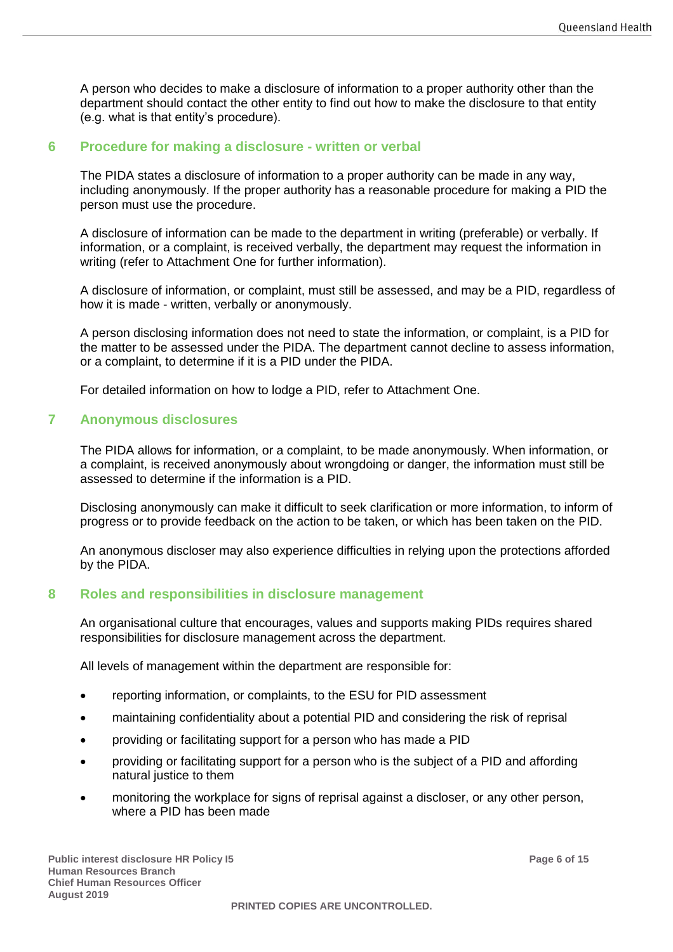A person who decides to make a disclosure of information to a proper authority other than the department should contact the other entity to find out how to make the disclosure to that entity (e.g. what is that entity's procedure).

#### <span id="page-5-0"></span>**6 Procedure for making a disclosure - written or verbal**

The PIDA states a disclosure of information to a proper authority can be made in any way, including anonymously. If the proper authority has a reasonable procedure for making a PID the person must use the procedure.

A disclosure of information can be made to the department in writing (preferable) or verbally. If information, or a complaint, is received verbally, the department may request the information in writing (refer to Attachment One for further information).

A disclosure of information, or complaint, must still be assessed, and may be a PID, regardless of how it is made - written, verbally or anonymously.

A person disclosing information does not need to state the information, or complaint, is a PID for the matter to be assessed under the PIDA. The department cannot decline to assess information, or a complaint, to determine if it is a PID under the PIDA.

For detailed information on how to lodge a PID, refer to Attachment One.

#### <span id="page-5-1"></span>**7 Anonymous disclosures**

The PIDA allows for information, or a complaint, to be made anonymously. When information, or a complaint, is received anonymously about wrongdoing or danger, the information must still be assessed to determine if the information is a PID.

Disclosing anonymously can make it difficult to seek clarification or more information, to inform of progress or to provide feedback on the action to be taken, or which has been taken on the PID.

An anonymous discloser may also experience difficulties in relying upon the protections afforded by the PIDA.

## <span id="page-5-2"></span>**8 Roles and responsibilities in disclosure management**

An organisational culture that encourages, values and supports making PIDs requires shared responsibilities for disclosure management across the department.

All levels of management within the department are responsible for:

- reporting information, or complaints, to the ESU for PID assessment
- maintaining confidentiality about a potential PID and considering the risk of reprisal
- providing or facilitating support for a person who has made a PID
- providing or facilitating support for a person who is the subject of a PID and affording natural justice to them
- monitoring the workplace for signs of reprisal against a discloser, or any other person, where a PID has been made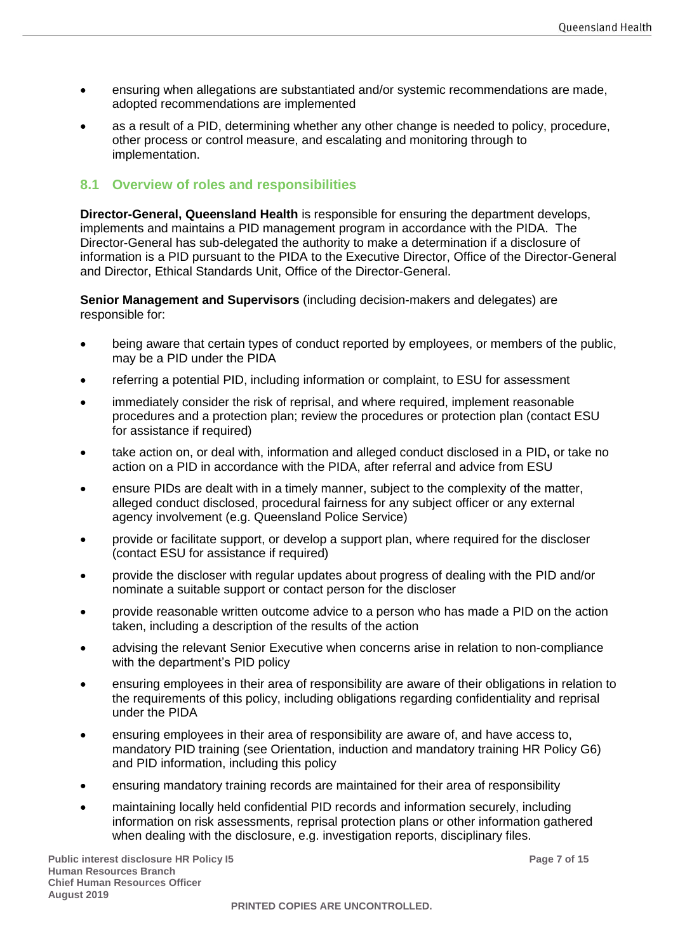- ensuring when allegations are substantiated and/or systemic recommendations are made, adopted recommendations are implemented
- as a result of a PID, determining whether any other change is needed to policy, procedure, other process or control measure, and escalating and monitoring through to implementation.

### <span id="page-6-0"></span>**8.1 Overview of roles and responsibilities**

**Director-General, Queensland Health** is responsible for ensuring the department develops, implements and maintains a PID management program in accordance with the PIDA. The Director-General has sub-delegated the authority to make a determination if a disclosure of information is a PID pursuant to the PIDA to the Executive Director, Office of the Director-General and Director, Ethical Standards Unit, Office of the Director-General.

**Senior Management and Supervisors** (including decision-makers and delegates) are responsible for:

- being aware that certain types of conduct reported by employees, or members of the public, may be a PID under the PIDA
- referring a potential PID, including information or complaint, to ESU for assessment
- immediately consider the risk of reprisal, and where required, implement reasonable procedures and a protection plan; review the procedures or protection plan (contact ESU for assistance if required)
- take action on, or deal with, information and alleged conduct disclosed in a PID**,** or take no action on a PID in accordance with the PIDA, after referral and advice from ESU
- ensure PIDs are dealt with in a timely manner, subject to the complexity of the matter, alleged conduct disclosed, procedural fairness for any subject officer or any external agency involvement (e.g. Queensland Police Service)
- provide or facilitate support, or develop a support plan, where required for the discloser (contact ESU for assistance if required)
- provide the discloser with regular updates about progress of dealing with the PID and/or nominate a suitable support or contact person for the discloser
- provide reasonable written outcome advice to a person who has made a PID on the action taken, including a description of the results of the action
- advising the relevant Senior Executive when concerns arise in relation to non-compliance with the department's PID policy
- ensuring employees in their area of responsibility are aware of their obligations in relation to the requirements of this policy, including obligations regarding confidentiality and reprisal under the PIDA
- ensuring employees in their area of responsibility are aware of, and have access to, mandatory PID training (see Orientation, induction and mandatory training HR Policy G6) and PID information, including this policy
- ensuring mandatory training records are maintained for their area of responsibility
- maintaining locally held confidential PID records and information securely, including information on risk assessments, reprisal protection plans or other information gathered when dealing with the disclosure, e.g. investigation reports, disciplinary files.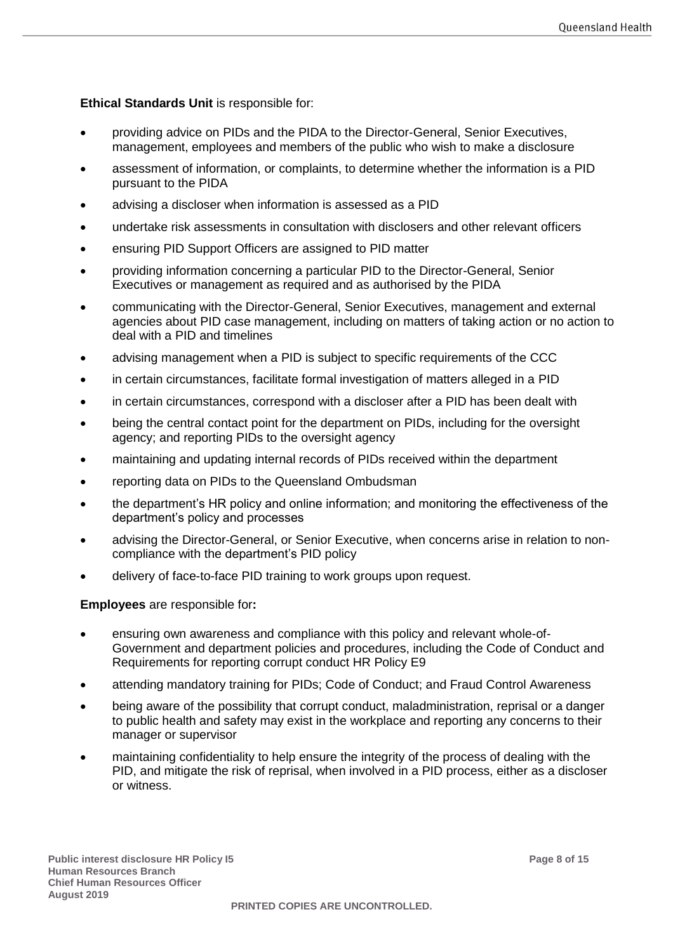**Ethical Standards Unit** is responsible for:

- providing advice on PIDs and the PIDA to the Director-General, Senior Executives, management, employees and members of the public who wish to make a disclosure
- assessment of information, or complaints, to determine whether the information is a PID pursuant to the PIDA
- advising a discloser when information is assessed as a PID
- undertake risk assessments in consultation with disclosers and other relevant officers
- ensuring PID Support Officers are assigned to PID matter
- providing information concerning a particular PID to the Director-General, Senior Executives or management as required and as authorised by the PIDA
- communicating with the Director-General, Senior Executives, management and external agencies about PID case management, including on matters of taking action or no action to deal with a PID and timelines
- advising management when a PID is subject to specific requirements of the CCC
- in certain circumstances, facilitate formal investigation of matters alleged in a PID
- in certain circumstances, correspond with a discloser after a PID has been dealt with
- being the central contact point for the department on PIDs, including for the oversight agency; and reporting PIDs to the oversight agency
- maintaining and updating internal records of PIDs received within the department
- reporting data on PIDs to the Queensland Ombudsman
- the department's HR policy and online information; and monitoring the effectiveness of the department's policy and processes
- advising the Director-General, or Senior Executive, when concerns arise in relation to noncompliance with the department's PID policy
- delivery of face-to-face PID training to work groups upon request.

**Employees** are responsible for**:** 

- ensuring own awareness and compliance with this policy and relevant whole-of-Government and department policies and procedures, including the Code of Conduct and Requirements for reporting corrupt conduct HR Policy E9
- attending mandatory training for PIDs; Code of Conduct; and Fraud Control Awareness
- being aware of the possibility that corrupt conduct, maladministration, reprisal or a danger to public health and safety may exist in the workplace and reporting any concerns to their manager or supervisor
- maintaining confidentiality to help ensure the integrity of the process of dealing with the PID, and mitigate the risk of reprisal, when involved in a PID process, either as a discloser or witness.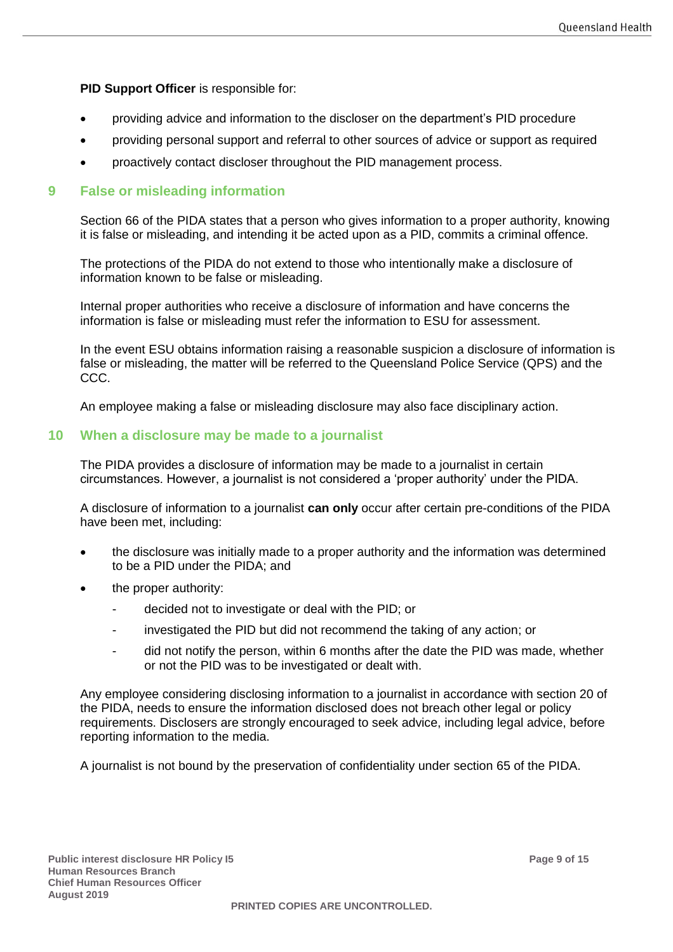**PID Support Officer** is responsible for:

- providing advice and information to the discloser on the department's PID procedure
- providing personal support and referral to other sources of advice or support as required
- proactively contact discloser throughout the PID management process.

#### <span id="page-8-0"></span>**9 False or misleading information**

Section 66 of the PIDA states that a person who gives information to a proper authority, knowing it is false or misleading, and intending it be acted upon as a PID, commits a criminal offence.

The protections of the PIDA do not extend to those who intentionally make a disclosure of information known to be false or misleading.

Internal proper authorities who receive a disclosure of information and have concerns the information is false or misleading must refer the information to ESU for assessment.

In the event ESU obtains information raising a reasonable suspicion a disclosure of information is false or misleading, the matter will be referred to the Queensland Police Service (QPS) and the CCC.

An employee making a false or misleading disclosure may also face disciplinary action.

#### <span id="page-8-1"></span>**10 When a disclosure may be made to a journalist**

The PIDA provides a disclosure of information may be made to a journalist in certain circumstances. However, a journalist is not considered a 'proper authority' under the PIDA.

A disclosure of information to a journalist **can only** occur after certain pre-conditions of the PIDA have been met, including:

- the disclosure was initially made to a proper authority and the information was determined to be a PID under the PIDA; and
- the proper authority:
	- decided not to investigate or deal with the PID; or
	- investigated the PID but did not recommend the taking of any action; or
	- did not notify the person, within 6 months after the date the PID was made, whether or not the PID was to be investigated or dealt with.

Any employee considering disclosing information to a journalist in accordance with section 20 of the PIDA, needs to ensure the information disclosed does not breach other legal or policy requirements. Disclosers are strongly encouraged to seek advice, including legal advice, before reporting information to the media.

A journalist is not bound by the preservation of confidentiality under section 65 of the PIDA.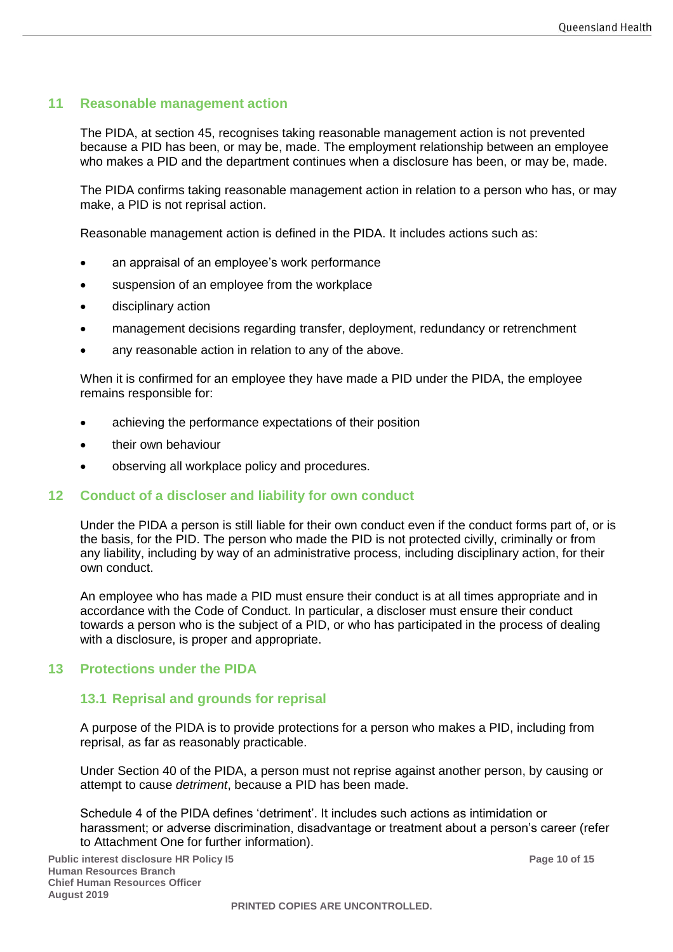## <span id="page-9-0"></span>**11 Reasonable management action**

The PIDA, at section 45, recognises taking reasonable management action is not prevented because a PID has been, or may be, made. The employment relationship between an employee who makes a PID and the department continues when a disclosure has been, or may be, made.

The PIDA confirms taking reasonable management action in relation to a person who has, or may make, a PID is not reprisal action.

Reasonable management action is defined in the PIDA. It includes actions such as:

- an appraisal of an employee's work performance
- suspension of an employee from the workplace
- disciplinary action
- management decisions regarding transfer, deployment, redundancy or retrenchment
- any reasonable action in relation to any of the above.

When it is confirmed for an employee they have made a PID under the PIDA, the employee remains responsible for:

- achieving the performance expectations of their position
- their own behaviour
- observing all workplace policy and procedures.

#### <span id="page-9-1"></span>**12 Conduct of a discloser and liability for own conduct**

Under the PIDA a person is still liable for their own conduct even if the conduct forms part of, or is the basis, for the PID. The person who made the PID is not protected civilly, criminally or from any liability, including by way of an administrative process, including disciplinary action, for their own conduct.

An employee who has made a PID must ensure their conduct is at all times appropriate and in accordance with the Code of Conduct. In particular, a discloser must ensure their conduct towards a person who is the subject of a PID, or who has participated in the process of dealing with a disclosure, is proper and appropriate.

#### <span id="page-9-3"></span><span id="page-9-2"></span>**13 Protections under the PIDA**

#### **13.1 Reprisal and grounds for reprisal**

A purpose of the PIDA is to provide protections for a person who makes a PID, including from reprisal, as far as reasonably practicable.

Under Section 40 of the PIDA, a person must not reprise against another person, by causing or attempt to cause *detriment*, because a PID has been made.

Schedule 4 of the PIDA defines 'detriment'. It includes such actions as intimidation or harassment; or adverse discrimination, disadvantage or treatment about a person's career (refer to Attachment One for further information).

**Public interest disclosure HR Policy I5 Page 10 of 15 Human Resources Branch Chief Human Resources Officer August 2019**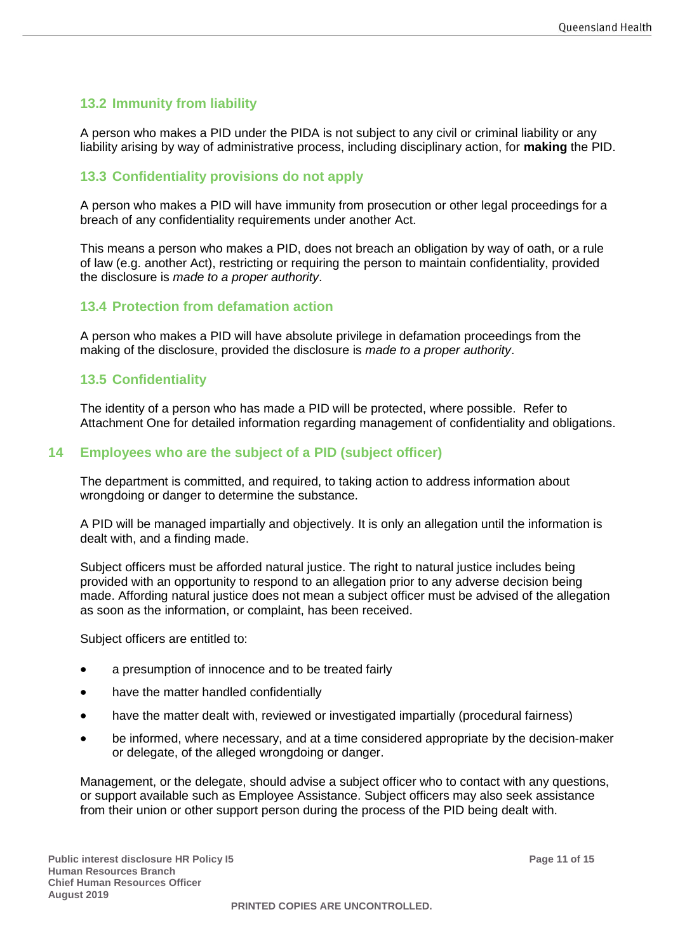# <span id="page-10-0"></span>**13.2 Immunity from liability**

A person who makes a PID under the PIDA is not subject to any civil or criminal liability or any liability arising by way of administrative process, including disciplinary action, for **making** the PID.

### <span id="page-10-1"></span>**13.3 Confidentiality provisions do not apply**

A person who makes a PID will have immunity from prosecution or other legal proceedings for a breach of any confidentiality requirements under another Act.

This means a person who makes a PID, does not breach an obligation by way of oath, or a rule of law (e.g. another Act), restricting or requiring the person to maintain confidentiality, provided the disclosure is *made to a proper authority*.

#### <span id="page-10-2"></span>**13.4 Protection from defamation action**

A person who makes a PID will have absolute privilege in defamation proceedings from the making of the disclosure, provided the disclosure is *made to a proper authority*.

#### <span id="page-10-3"></span>**13.5 Confidentiality**

The identity of a person who has made a PID will be protected, where possible. Refer to Attachment One for detailed information regarding management of confidentiality and obligations.

#### <span id="page-10-4"></span>**14 Employees who are the subject of a PID (subject officer)**

The department is committed, and required, to taking action to address information about wrongdoing or danger to determine the substance.

A PID will be managed impartially and objectively. It is only an allegation until the information is dealt with, and a finding made.

Subject officers must be afforded natural justice. The right to natural justice includes being provided with an opportunity to respond to an allegation prior to any adverse decision being made. Affording natural justice does not mean a subject officer must be advised of the allegation as soon as the information, or complaint, has been received.

Subject officers are entitled to:

- a presumption of innocence and to be treated fairly
- have the matter handled confidentially
- have the matter dealt with, reviewed or investigated impartially (procedural fairness)
- be informed, where necessary, and at a time considered appropriate by the decision-maker or delegate, of the alleged wrongdoing or danger.

Management, or the delegate, should advise a subject officer who to contact with any questions, or support available such as Employee Assistance. Subject officers may also seek assistance from their union or other support person during the process of the PID being dealt with.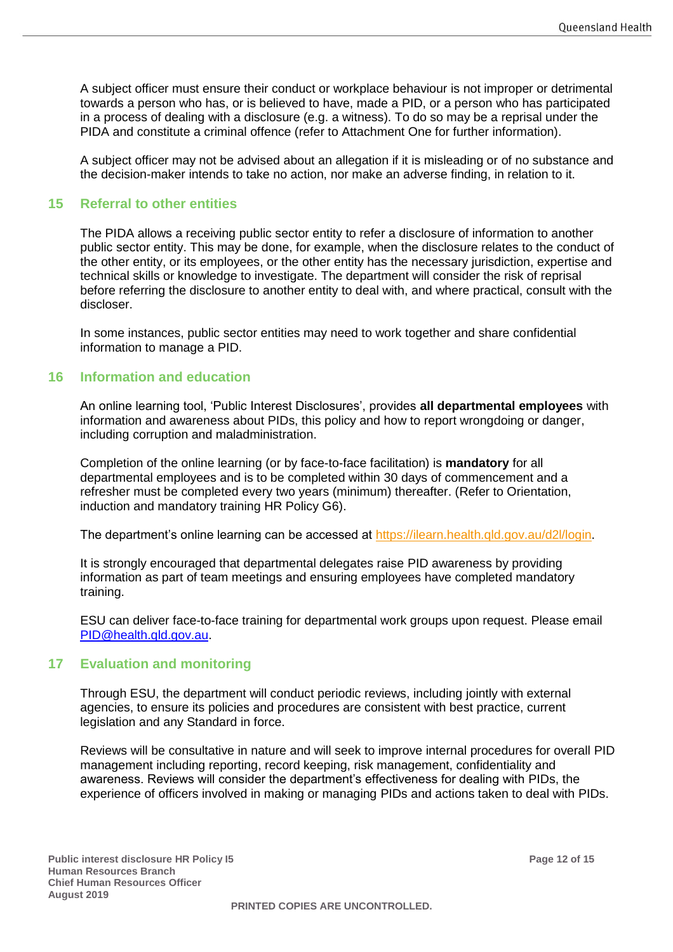A subject officer must ensure their conduct or workplace behaviour is not improper or detrimental towards a person who has, or is believed to have, made a PID, or a person who has participated in a process of dealing with a disclosure (e.g. a witness). To do so may be a reprisal under the PIDA and constitute a criminal offence (refer to Attachment One for further information).

A subject officer may not be advised about an allegation if it is misleading or of no substance and the decision-maker intends to take no action, nor make an adverse finding, in relation to it.

#### <span id="page-11-0"></span>**15 Referral to other entities**

The PIDA allows a receiving public sector entity to refer a disclosure of information to another public sector entity. This may be done, for example, when the disclosure relates to the conduct of the other entity, or its employees, or the other entity has the necessary jurisdiction, expertise and technical skills or knowledge to investigate. The department will consider the risk of reprisal before referring the disclosure to another entity to deal with, and where practical, consult with the discloser.

In some instances, public sector entities may need to work together and share confidential information to manage a PID.

#### <span id="page-11-1"></span>**16 Information and education**

An online learning tool, 'Public Interest Disclosures', provides **all departmental employees** with information and awareness about PIDs, this policy and how to report wrongdoing or danger, including corruption and maladministration.

Completion of the online learning (or by face-to-face facilitation) is **mandatory** for all departmental employees and is to be completed within 30 days of commencement and a refresher must be completed every two years (minimum) thereafter. (Refer to Orientation, induction and mandatory training HR Policy G6).

The department's online learning can be accessed at [https://ilearn.health.qld.gov.au/d2l/login.](https://ilearn.health.qld.gov.au/d2l/login)

It is strongly encouraged that departmental delegates raise PID awareness by providing information as part of team meetings and ensuring employees have completed mandatory training.

ESU can deliver face-to-face training for departmental work groups upon request. Please email [PID@health.qld.gov.au.](mailto:PID@health.qld.gov.au)

#### <span id="page-11-2"></span>**17 Evaluation and monitoring**

Through ESU, the department will conduct periodic reviews, including jointly with external agencies, to ensure its policies and procedures are consistent with best practice, current legislation and any Standard in force.

Reviews will be consultative in nature and will seek to improve internal procedures for overall PID management including reporting, record keeping, risk management, confidentiality and awareness. Reviews will consider the department's effectiveness for dealing with PIDs, the experience of officers involved in making or managing PIDs and actions taken to deal with PIDs.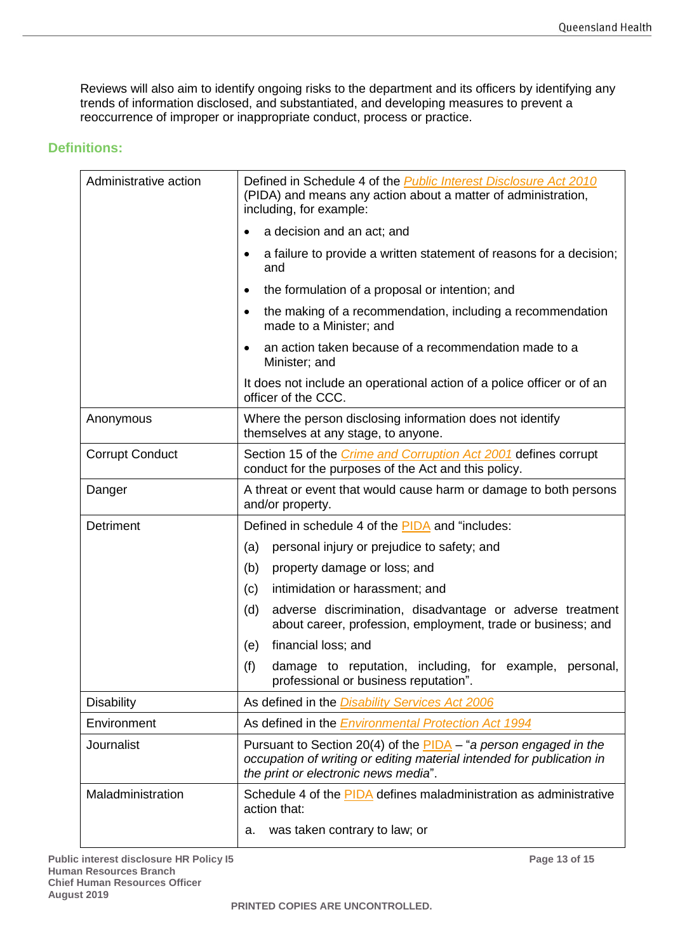Reviews will also aim to identify ongoing risks to the department and its officers by identifying any trends of information disclosed, and substantiated, and developing measures to prevent a reoccurrence of improper or inappropriate conduct, process or practice.

#### <span id="page-12-0"></span>**Definitions:**

| Administrative action  | Defined in Schedule 4 of the <b>Public Interest Disclosure Act 2010</b><br>(PIDA) and means any action about a matter of administration,<br>including, for example:               |  |  |
|------------------------|-----------------------------------------------------------------------------------------------------------------------------------------------------------------------------------|--|--|
|                        | a decision and an act; and                                                                                                                                                        |  |  |
|                        | a failure to provide a written statement of reasons for a decision;<br>and                                                                                                        |  |  |
|                        | the formulation of a proposal or intention; and                                                                                                                                   |  |  |
|                        | the making of a recommendation, including a recommendation<br>made to a Minister; and                                                                                             |  |  |
|                        | an action taken because of a recommendation made to a<br>Minister; and                                                                                                            |  |  |
|                        | It does not include an operational action of a police officer or of an<br>officer of the CCC.                                                                                     |  |  |
| Anonymous              | Where the person disclosing information does not identify<br>themselves at any stage, to anyone.                                                                                  |  |  |
| <b>Corrupt Conduct</b> | Section 15 of the <i>Crime and Corruption Act 2001</i> defines corrupt<br>conduct for the purposes of the Act and this policy.                                                    |  |  |
| Danger                 | A threat or event that would cause harm or damage to both persons<br>and/or property.                                                                                             |  |  |
| Detriment              | Defined in schedule 4 of the PIDA and "includes:                                                                                                                                  |  |  |
|                        | personal injury or prejudice to safety; and<br>(a)                                                                                                                                |  |  |
|                        | (b)<br>property damage or loss; and                                                                                                                                               |  |  |
|                        | intimidation or harassment; and<br>(c)                                                                                                                                            |  |  |
|                        | adverse discrimination, disadvantage or adverse treatment<br>(d)<br>about career, profession, employment, trade or business; and                                                  |  |  |
|                        | financial loss; and<br>(e)                                                                                                                                                        |  |  |
|                        | (f)<br>damage to reputation, including, for example, personal,<br>professional or business reputation".                                                                           |  |  |
| <b>Disability</b>      | As defined in the <i>Disability Services Act 2006</i>                                                                                                                             |  |  |
| Environment            | As defined in the <b>Environmental Protection Act 1994</b>                                                                                                                        |  |  |
| <b>Journalist</b>      | Pursuant to Section 20(4) of the PIDA - "a person engaged in the<br>occupation of writing or editing material intended for publication in<br>the print or electronic news media". |  |  |
| Maladministration      | Schedule 4 of the PIDA defines maladministration as administrative<br>action that:                                                                                                |  |  |
|                        | was taken contrary to law; or<br>а.                                                                                                                                               |  |  |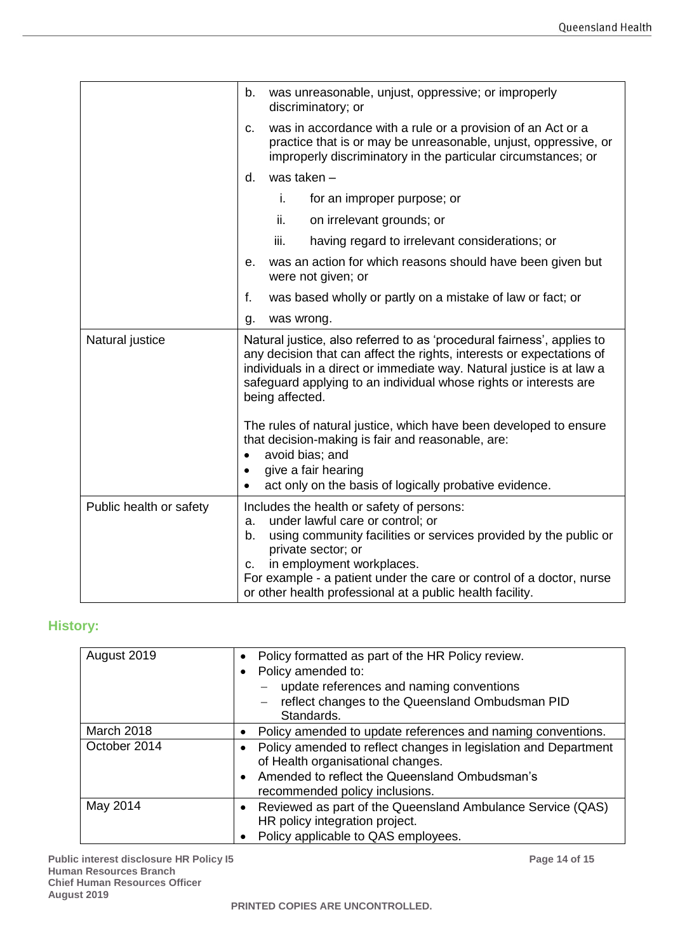|                         | was unreasonable, unjust, oppressive; or improperly<br>b.<br>discriminatory; or                                                                                                                                                                                                                                                                             |
|-------------------------|-------------------------------------------------------------------------------------------------------------------------------------------------------------------------------------------------------------------------------------------------------------------------------------------------------------------------------------------------------------|
|                         | was in accordance with a rule or a provision of an Act or a<br>c.<br>practice that is or may be unreasonable, unjust, oppressive, or<br>improperly discriminatory in the particular circumstances; or                                                                                                                                                       |
|                         | was taken -<br>d.                                                                                                                                                                                                                                                                                                                                           |
|                         | i.<br>for an improper purpose; or                                                                                                                                                                                                                                                                                                                           |
|                         | ii.<br>on irrelevant grounds; or                                                                                                                                                                                                                                                                                                                            |
|                         | iii.<br>having regard to irrelevant considerations; or                                                                                                                                                                                                                                                                                                      |
|                         | was an action for which reasons should have been given but<br>е.<br>were not given; or                                                                                                                                                                                                                                                                      |
|                         | f.<br>was based wholly or partly on a mistake of law or fact; or                                                                                                                                                                                                                                                                                            |
|                         | was wrong.<br>g.                                                                                                                                                                                                                                                                                                                                            |
| Natural justice         | Natural justice, also referred to as 'procedural fairness', applies to<br>any decision that can affect the rights, interests or expectations of<br>individuals in a direct or immediate way. Natural justice is at law a<br>safeguard applying to an individual whose rights or interests are<br>being affected.                                            |
|                         | The rules of natural justice, which have been developed to ensure<br>that decision-making is fair and reasonable, are:<br>avoid bias; and<br>$\bullet$<br>give a fair hearing<br>$\bullet$<br>act only on the basis of logically probative evidence.<br>$\bullet$                                                                                           |
| Public health or safety | Includes the health or safety of persons:<br>under lawful care or control; or<br>a.<br>b.<br>using community facilities or services provided by the public or<br>private sector; or<br>in employment workplaces.<br>c.<br>For example - a patient under the care or control of a doctor, nurse<br>or other health professional at a public health facility. |

# <span id="page-13-0"></span>**History:**

| August 2019  | Policy formatted as part of the HR Policy review.<br>$\bullet$<br>Policy amended to:<br>update references and naming conventions<br>reflect changes to the Queensland Ombudsman PID<br>Standards.    |
|--------------|------------------------------------------------------------------------------------------------------------------------------------------------------------------------------------------------------|
| March 2018   | Policy amended to update references and naming conventions.                                                                                                                                          |
| October 2014 | Policy amended to reflect changes in legislation and Department<br>of Health organisational changes.<br>Amended to reflect the Queensland Ombudsman's<br>$\bullet$<br>recommended policy inclusions. |
| May 2014     | Reviewed as part of the Queensland Ambulance Service (QAS)<br>HR policy integration project.<br>Policy applicable to QAS employees.                                                                  |

**Public interest disclosure HR Policy I5 Page 14 of 15 Human Resources Branch Chief Human Resources Officer August 2019**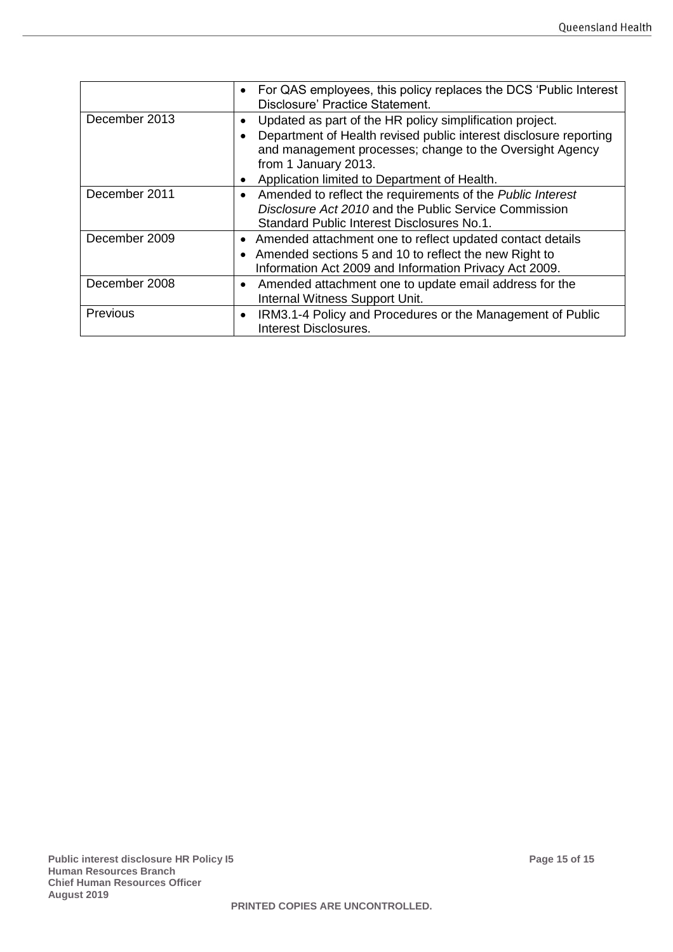|               | For QAS employees, this policy replaces the DCS 'Public Interest<br>$\bullet$<br>Disclosure' Practice Statement.                                                                                                                            |
|---------------|---------------------------------------------------------------------------------------------------------------------------------------------------------------------------------------------------------------------------------------------|
| December 2013 | Updated as part of the HR policy simplification project.<br>$\bullet$<br>Department of Health revised public interest disclosure reporting<br>$\bullet$<br>and management processes; change to the Oversight Agency<br>from 1 January 2013. |
|               | Application limited to Department of Health.<br>٠                                                                                                                                                                                           |
| December 2011 | Amended to reflect the requirements of the Public Interest<br>$\bullet$<br>Disclosure Act 2010 and the Public Service Commission<br>Standard Public Interest Disclosures No.1.                                                              |
| December 2009 | Amended attachment one to reflect updated contact details<br>$\bullet$<br>Amended sections 5 and 10 to reflect the new Right to<br>Information Act 2009 and Information Privacy Act 2009.                                                   |
| December 2008 | Amended attachment one to update email address for the<br>$\bullet$<br>Internal Witness Support Unit.                                                                                                                                       |
| Previous      | IRM3.1-4 Policy and Procedures or the Management of Public<br>$\bullet$<br>Interest Disclosures.                                                                                                                                            |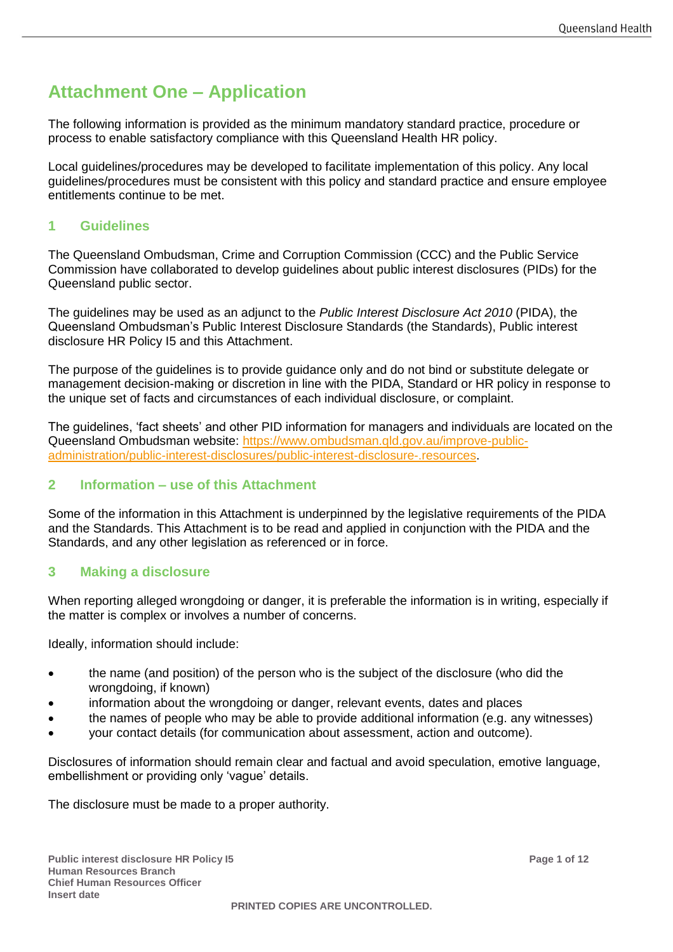# <span id="page-15-0"></span>**Attachment One – Application**

The following information is provided as the minimum mandatory standard practice, procedure or process to enable satisfactory compliance with this Queensland Health HR policy.

Local guidelines/procedures may be developed to facilitate implementation of this policy. Any local guidelines/procedures must be consistent with this policy and standard practice and ensure employee entitlements continue to be met.

## **1 Guidelines**

The Queensland Ombudsman, Crime and Corruption Commission (CCC) and the Public Service Commission have collaborated to develop guidelines about public interest disclosures (PIDs) for the Queensland public sector.

The guidelines may be used as an adjunct to the *Public Interest Disclosure Act 2010* (PIDA), the Queensland Ombudsman's Public Interest Disclosure Standards (the Standards), Public interest disclosure HR Policy I5 and this Attachment.

The purpose of the guidelines is to provide guidance only and do not bind or substitute delegate or management decision-making or discretion in line with the PIDA, Standard or HR policy in response to the unique set of facts and circumstances of each individual disclosure, or complaint.

The guidelines, 'fact sheets' and other PID information for managers and individuals are located on the Queensland Ombudsman website: [https://www.ombudsman.qld.gov.au/improve-public](https://www.ombudsman.qld.gov.au/improve-public-administration/public-interest-disclosures/public-interest-disclosure-.resources)[administration/public-interest-disclosures/public-interest-disclosure-.resources.](https://www.ombudsman.qld.gov.au/improve-public-administration/public-interest-disclosures/public-interest-disclosure-.resources)

## **2 Information – use of this Attachment**

Some of the information in this Attachment is underpinned by the legislative requirements of the PIDA and the Standards. This Attachment is to be read and applied in conjunction with the PIDA and the Standards, and any other legislation as referenced or in force.

## **3 Making a disclosure**

When reporting alleged wrongdoing or danger, it is preferable the information is in writing, especially if the matter is complex or involves a number of concerns.

Ideally, information should include:

- the name (and position) of the person who is the subject of the disclosure (who did the wrongdoing, if known)
- information about the wrongdoing or danger, relevant events, dates and places
- the names of people who may be able to provide additional information (e.g. any witnesses)
- your contact details (for communication about assessment, action and outcome).

Disclosures of information should remain clear and factual and avoid speculation, emotive language, embellishment or providing only 'vague' details.

The disclosure must be made to a proper authority.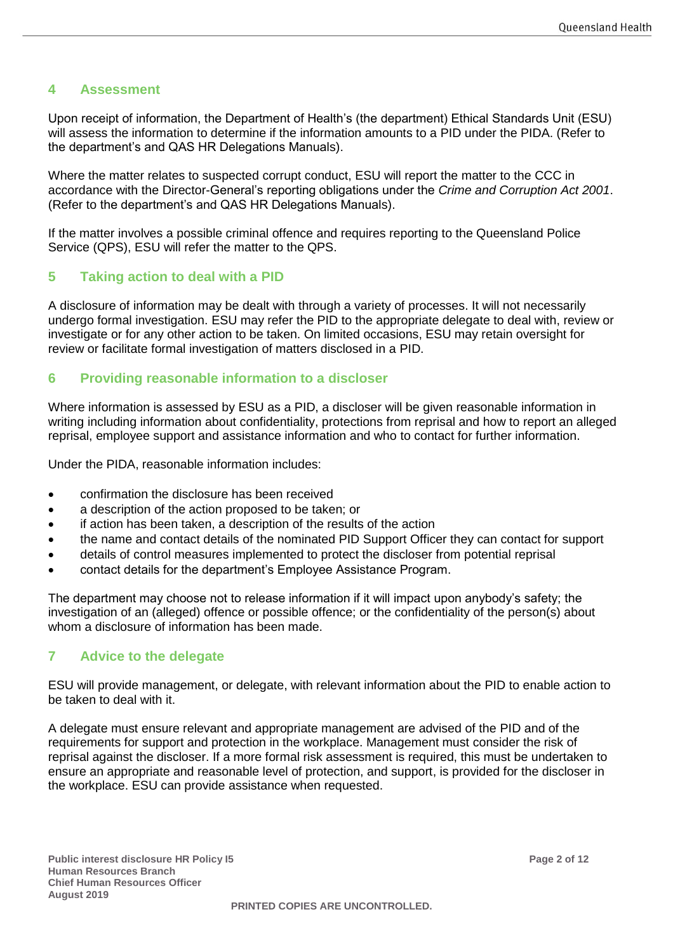## **4 Assessment**

Upon receipt of information, the Department of Health's (the department) Ethical Standards Unit (ESU) will assess the information to determine if the information amounts to a PID under the PIDA. (Refer to the department's and QAS HR Delegations Manuals).

Where the matter relates to suspected corrupt conduct, ESU will report the matter to the CCC in accordance with the Director-General's reporting obligations under the *Crime and Corruption Act 2001*. (Refer to the department's and QAS HR Delegations Manuals).

If the matter involves a possible criminal offence and requires reporting to the Queensland Police Service (QPS), ESU will refer the matter to the QPS.

## **5 Taking action to deal with a PID**

A disclosure of information may be dealt with through a variety of processes. It will not necessarily undergo formal investigation. ESU may refer the PID to the appropriate delegate to deal with, review or investigate or for any other action to be taken. On limited occasions, ESU may retain oversight for review or facilitate formal investigation of matters disclosed in a PID.

#### **6 Providing reasonable information to a discloser**

Where information is assessed by ESU as a PID, a discloser will be given reasonable information in writing including information about confidentiality, protections from reprisal and how to report an alleged reprisal, employee support and assistance information and who to contact for further information.

Under the PIDA, reasonable information includes:

- confirmation the disclosure has been received
- a description of the action proposed to be taken; or
- if action has been taken, a description of the results of the action
- the name and contact details of the nominated PID Support Officer they can contact for support
- details of control measures implemented to protect the discloser from potential reprisal
- contact details for the department's Employee Assistance Program.

The department may choose not to release information if it will impact upon anybody's safety; the investigation of an (alleged) offence or possible offence; or the confidentiality of the person(s) about whom a disclosure of information has been made.

## **7 Advice to the delegate**

ESU will provide management, or delegate, with relevant information about the PID to enable action to be taken to deal with it.

A delegate must ensure relevant and appropriate management are advised of the PID and of the requirements for support and protection in the workplace. Management must consider the risk of reprisal against the discloser. If a more formal risk assessment is required, this must be undertaken to ensure an appropriate and reasonable level of protection, and support, is provided for the discloser in the workplace. ESU can provide assistance when requested.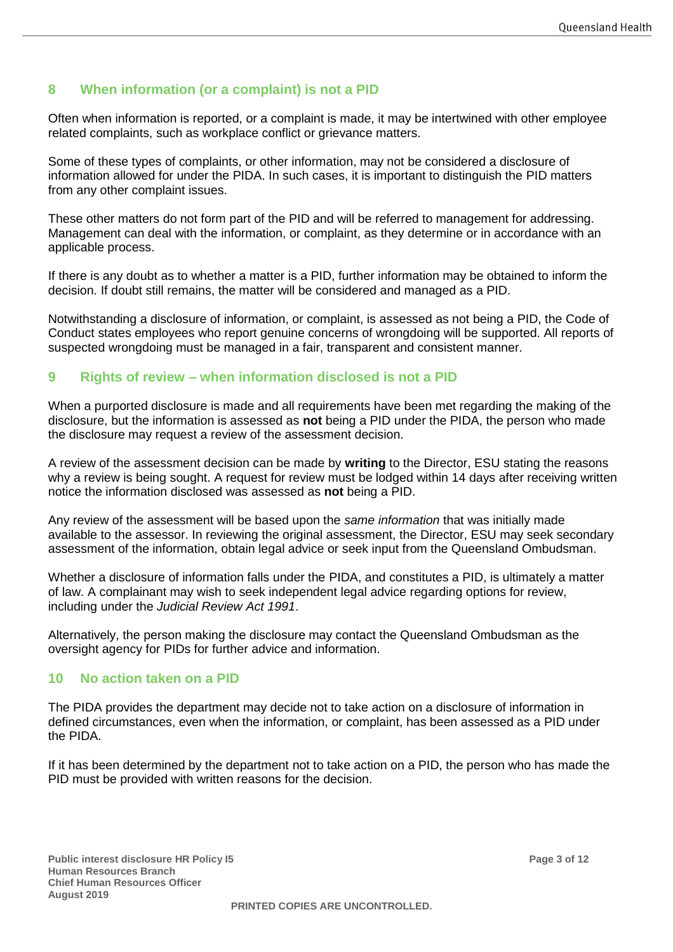# **8 When information (or a complaint) is not a PID**

Often when information is reported, or a complaint is made, it may be intertwined with other employee related complaints, such as workplace conflict or grievance matters.

Some of these types of complaints, or other information, may not be considered a disclosure of information allowed for under the PIDA. In such cases, it is important to distinguish the PID matters from any other complaint issues.

These other matters do not form part of the PID and will be referred to management for addressing. Management can deal with the information, or complaint, as they determine or in accordance with an applicable process.

If there is any doubt as to whether a matter is a PID, further information may be obtained to inform the decision. If doubt still remains, the matter will be considered and managed as a PID.

Notwithstanding a disclosure of information, or complaint, is assessed as not being a PID, the Code of Conduct states employees who report genuine concerns of wrongdoing will be supported. All reports of suspected wrongdoing must be managed in a fair, transparent and consistent manner.

#### **9 Rights of review – when information disclosed is not a PID**

When a purported disclosure is made and all requirements have been met regarding the making of the disclosure, but the information is assessed as **not** being a PID under the PIDA, the person who made the disclosure may request a review of the assessment decision.

A review of the assessment decision can be made by **writing** to the Director, ESU stating the reasons why a review is being sought. A request for review must be lodged within 14 days after receiving written notice the information disclosed was assessed as **not** being a PID.

Any review of the assessment will be based upon the *same information* that was initially made available to the assessor. In reviewing the original assessment, the Director, ESU may seek secondary assessment of the information, obtain legal advice or seek input from the Queensland Ombudsman.

Whether a disclosure of information falls under the PIDA, and constitutes a PID, is ultimately a matter of law. A complainant may wish to seek independent legal advice regarding options for review, including under the *Judicial Review Act 1991*.

Alternatively, the person making the disclosure may contact the Queensland Ombudsman as the oversight agency for PIDs for further advice and information.

#### **10 No action taken on a PID**

The PIDA provides the department may decide not to take action on a disclosure of information in defined circumstances, even when the information, or complaint, has been assessed as a PID under the PIDA.

If it has been determined by the department not to take action on a PID, the person who has made the PID must be provided with written reasons for the decision.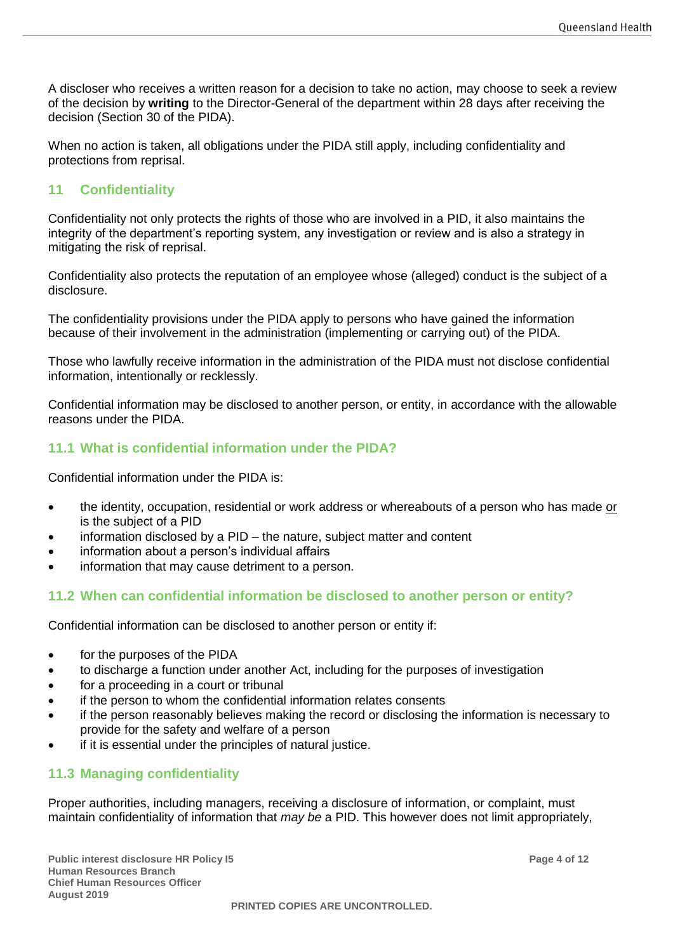A discloser who receives a written reason for a decision to take no action, may choose to seek a review of the decision by **writing** to the Director-General of the department within 28 days after receiving the decision (Section 30 of the PIDA).

When no action is taken, all obligations under the PIDA still apply, including confidentiality and protections from reprisal.

## **11 Confidentiality**

Confidentiality not only protects the rights of those who are involved in a PID, it also maintains the integrity of the department's reporting system, any investigation or review and is also a strategy in mitigating the risk of reprisal.

Confidentiality also protects the reputation of an employee whose (alleged) conduct is the subject of a disclosure.

The confidentiality provisions under the PIDA apply to persons who have gained the information because of their involvement in the administration (implementing or carrying out) of the PIDA.

Those who lawfully receive information in the administration of the PIDA must not disclose confidential information, intentionally or recklessly.

Confidential information may be disclosed to another person, or entity, in accordance with the allowable reasons under the PIDA.

## **11.1 What is confidential information under the PIDA?**

Confidential information under the PIDA is:

- the identity, occupation, residential or work address or whereabouts of a person who has made or is the subject of a PID
- information disclosed by a  $PID -$  the nature, subject matter and content
- information about a person's individual affairs
- information that may cause detriment to a person.

#### **11.2 When can confidential information be disclosed to another person or entity?**

Confidential information can be disclosed to another person or entity if:

- for the purposes of the PIDA
- to discharge a function under another Act, including for the purposes of investigation
- for a proceeding in a court or tribunal
- if the person to whom the confidential information relates consents
- if the person reasonably believes making the record or disclosing the information is necessary to provide for the safety and welfare of a person
- if it is essential under the principles of natural justice.

## **11.3 Managing confidentiality**

Proper authorities, including managers, receiving a disclosure of information, or complaint, must maintain confidentiality of information that *may be* a PID. This however does not limit appropriately,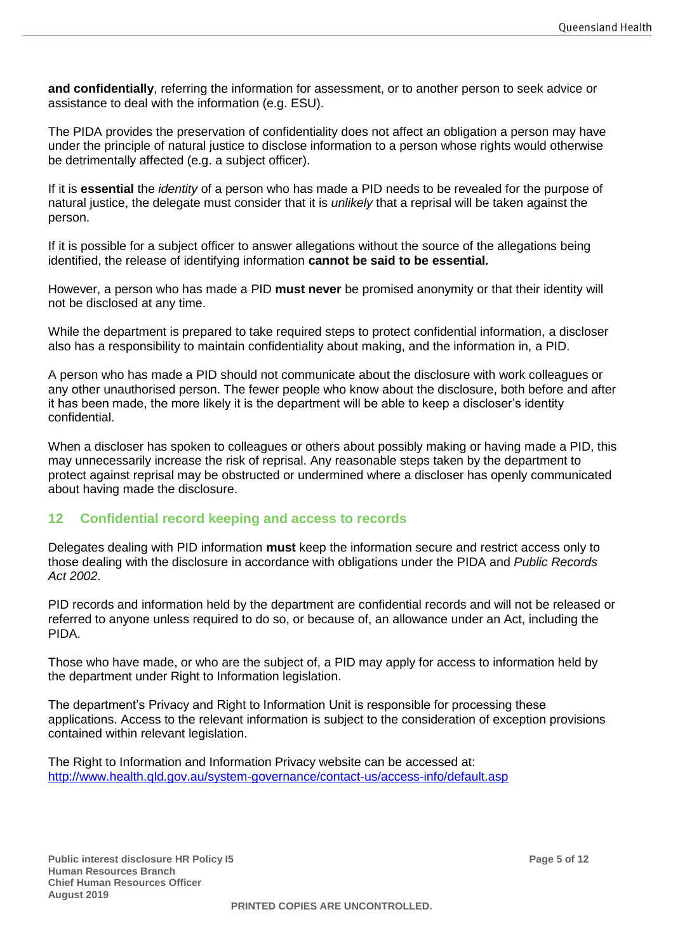**and confidentially**, referring the information for assessment, or to another person to seek advice or assistance to deal with the information (e.g. ESU).

The PIDA provides the preservation of confidentiality does not affect an obligation a person may have under the principle of natural justice to disclose information to a person whose rights would otherwise be detrimentally affected (e.g. a subject officer).

If it is **essential** the *identity* of a person who has made a PID needs to be revealed for the purpose of natural justice, the delegate must consider that it is *unlikely* that a reprisal will be taken against the person.

If it is possible for a subject officer to answer allegations without the source of the allegations being identified, the release of identifying information **cannot be said to be essential***.* 

However, a person who has made a PID **must never** be promised anonymity or that their identity will not be disclosed at any time.

While the department is prepared to take required steps to protect confidential information, a discloser also has a responsibility to maintain confidentiality about making, and the information in, a PID.

A person who has made a PID should not communicate about the disclosure with work colleagues or any other unauthorised person. The fewer people who know about the disclosure, both before and after it has been made, the more likely it is the department will be able to keep a discloser's identity confidential.

When a discloser has spoken to colleagues or others about possibly making or having made a PID, this may unnecessarily increase the risk of reprisal. Any reasonable steps taken by the department to protect against reprisal may be obstructed or undermined where a discloser has openly communicated about having made the disclosure.

## **12 Confidential record keeping and access to records**

Delegates dealing with PID information **must** keep the information secure and restrict access only to those dealing with the disclosure in accordance with obligations under the PIDA and *Public Records Act 2002*.

PID records and information held by the department are confidential records and will not be released or referred to anyone unless required to do so, or because of, an allowance under an Act, including the PIDA.

Those who have made, or who are the subject of, a PID may apply for access to information held by the department under Right to Information legislation.

The department's Privacy and Right to Information Unit is responsible for processing these applications. Access to the relevant information is subject to the consideration of exception provisions contained within relevant legislation.

The Right to Information and Information Privacy website can be accessed at: <http://www.health.qld.gov.au/system-governance/contact-us/access-info/default.asp>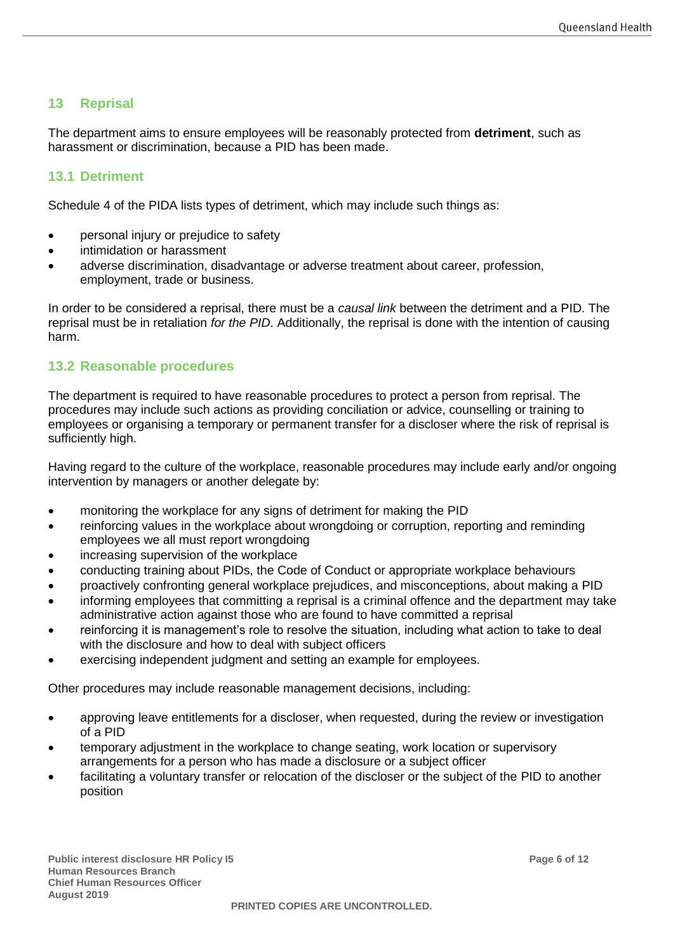## **13 Reprisal**

The department aims to ensure employees will be reasonably protected from **detriment**, such as harassment or discrimination, because a PID has been made.

#### **13.1 Detriment**

Schedule 4 of the PIDA lists types of detriment, which may include such things as:

- personal injury or prejudice to safety
- intimidation or harassment
- adverse discrimination, disadvantage or adverse treatment about career, profession, employment, trade or business.

In order to be considered a reprisal, there must be a *causal link* between the detriment and a PID. The reprisal must be in retaliation *for the PID*. Additionally, the reprisal is done with the intention of causing harm.

## **13.2 Reasonable procedures**

The department is required to have reasonable procedures to protect a person from reprisal. The procedures may include such actions as providing conciliation or advice, counselling or training to employees or organising a temporary or permanent transfer for a discloser where the risk of reprisal is sufficiently high.

Having regard to the culture of the workplace, reasonable procedures may include early and/or ongoing intervention by managers or another delegate by:

- monitoring the workplace for any signs of detriment for making the PID
- reinforcing values in the workplace about wrongdoing or corruption, reporting and reminding employees we all must report wrongdoing
- increasing supervision of the workplace
- conducting training about PIDs, the Code of Conduct or appropriate workplace behaviours
- proactively confronting general workplace prejudices, and misconceptions, about making a PID
- informing employees that committing a reprisal is a criminal offence and the department may take administrative action against those who are found to have committed a reprisal
- reinforcing it is management's role to resolve the situation, including what action to take to deal with the disclosure and how to deal with subject officers
- exercising independent judgment and setting an example for employees.

Other procedures may include reasonable management decisions, including:

- approving leave entitlements for a discloser, when requested, during the review or investigation of a PID
- temporary adjustment in the workplace to change seating, work location or supervisory arrangements for a person who has made a disclosure or a subject officer
- facilitating a voluntary transfer or relocation of the discloser or the subject of the PID to another position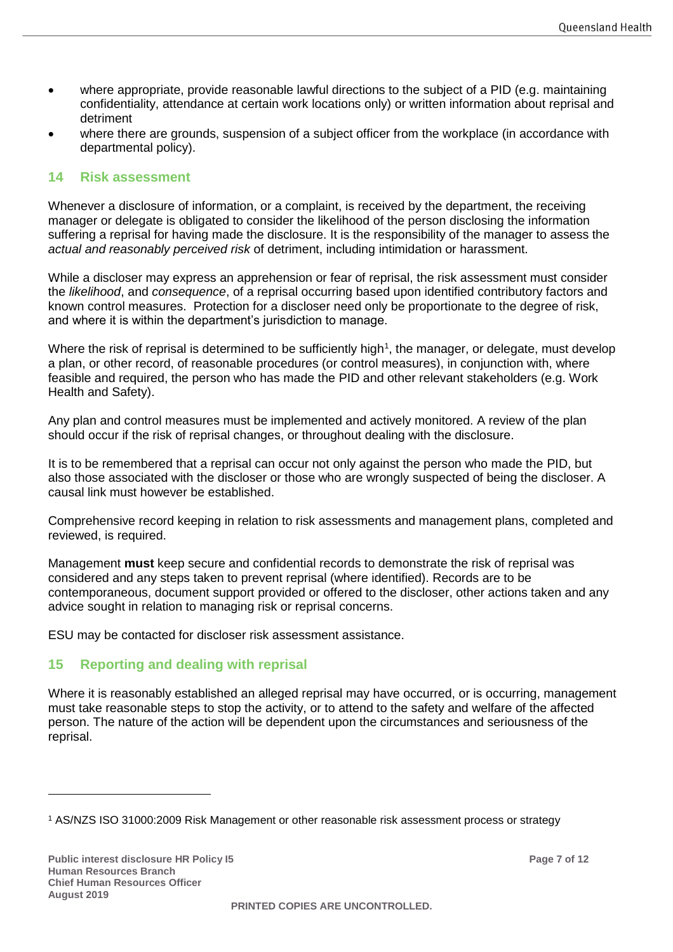- where appropriate, provide reasonable lawful directions to the subject of a PID (e.g. maintaining confidentiality, attendance at certain work locations only) or written information about reprisal and detriment
- where there are grounds, suspension of a subject officer from the workplace (in accordance with departmental policy).

#### **14 Risk assessment**

Whenever a disclosure of information, or a complaint, is received by the department, the receiving manager or delegate is obligated to consider the likelihood of the person disclosing the information suffering a reprisal for having made the disclosure. It is the responsibility of the manager to assess the *actual and reasonably perceived risk* of detriment, including intimidation or harassment.

While a discloser may express an apprehension or fear of reprisal, the risk assessment must consider the *likelihood*, and *consequence*, of a reprisal occurring based upon identified contributory factors and known control measures. Protection for a discloser need only be proportionate to the degree of risk, and where it is within the department's jurisdiction to manage.

Where the risk of reprisal is determined to be sufficiently high<sup>1</sup>, the manager, or delegate, must develop a plan, or other record, of reasonable procedures (or control measures), in conjunction with, where feasible and required, the person who has made the PID and other relevant stakeholders (e.g. Work Health and Safety).

Any plan and control measures must be implemented and actively monitored. A review of the plan should occur if the risk of reprisal changes, or throughout dealing with the disclosure.

It is to be remembered that a reprisal can occur not only against the person who made the PID, but also those associated with the discloser or those who are wrongly suspected of being the discloser. A causal link must however be established.

Comprehensive record keeping in relation to risk assessments and management plans, completed and reviewed, is required.

Management **must** keep secure and confidential records to demonstrate the risk of reprisal was considered and any steps taken to prevent reprisal (where identified). Records are to be contemporaneous, document support provided or offered to the discloser, other actions taken and any advice sought in relation to managing risk or reprisal concerns.

ESU may be contacted for discloser risk assessment assistance.

## **15 Reporting and dealing with reprisal**

Where it is reasonably established an alleged reprisal may have occurred, or is occurring, management must take reasonable steps to stop the activity, or to attend to the safety and welfare of the affected person. The nature of the action will be dependent upon the circumstances and seriousness of the reprisal.

 $\overline{a}$ 

<sup>1</sup> AS/NZS ISO 31000:2009 Risk Management or other reasonable risk assessment process or strategy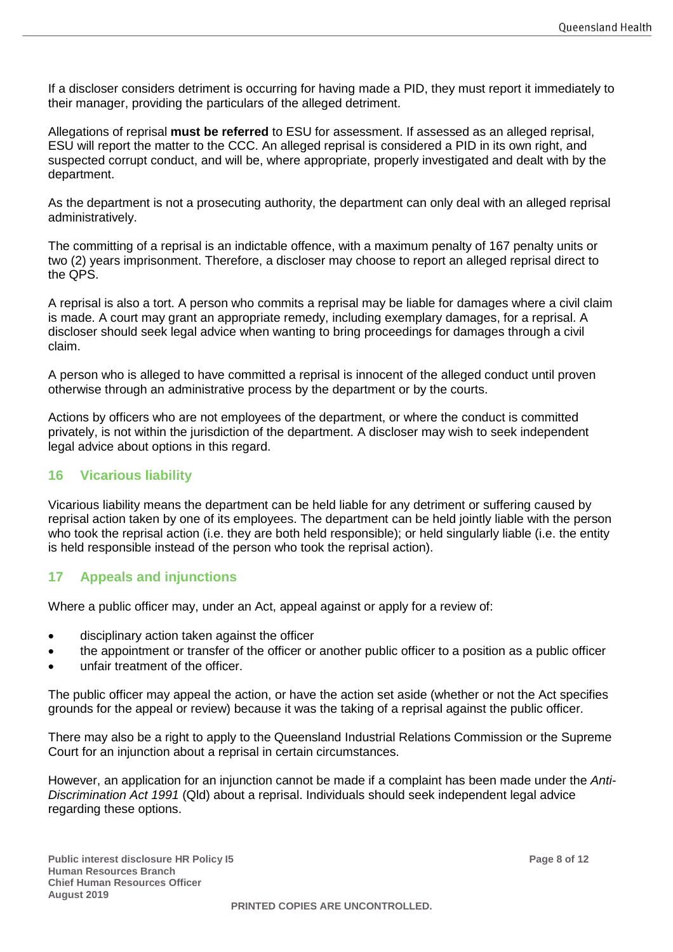If a discloser considers detriment is occurring for having made a PID, they must report it immediately to their manager, providing the particulars of the alleged detriment.

Allegations of reprisal **must be referred** to ESU for assessment. If assessed as an alleged reprisal, ESU will report the matter to the CCC. An alleged reprisal is considered a PID in its own right, and suspected corrupt conduct, and will be, where appropriate, properly investigated and dealt with by the department.

As the department is not a prosecuting authority, the department can only deal with an alleged reprisal administratively.

The committing of a reprisal is an indictable offence, with a maximum penalty of 167 penalty units or two (2) years imprisonment. Therefore, a discloser may choose to report an alleged reprisal direct to the QPS.

A reprisal is also a tort. A person who commits a reprisal may be liable for damages where a civil claim is made. A court may grant an appropriate remedy, including exemplary damages, for a reprisal. A discloser should seek legal advice when wanting to bring proceedings for damages through a civil claim.

A person who is alleged to have committed a reprisal is innocent of the alleged conduct until proven otherwise through an administrative process by the department or by the courts.

Actions by officers who are not employees of the department, or where the conduct is committed privately, is not within the jurisdiction of the department. A discloser may wish to seek independent legal advice about options in this regard.

## **16 Vicarious liability**

Vicarious liability means the department can be held liable for any detriment or suffering caused by reprisal action taken by one of its employees. The department can be held jointly liable with the person who took the reprisal action (i.e. they are both held responsible); or held singularly liable (i.e. the entity is held responsible instead of the person who took the reprisal action).

## **17 Appeals and injunctions**

Where a public officer may, under an Act, appeal against or apply for a review of:

- disciplinary action taken against the officer
- the appointment or transfer of the officer or another public officer to a position as a public officer
- unfair treatment of the officer.

The public officer may appeal the action, or have the action set aside (whether or not the Act specifies grounds for the appeal or review) because it was the taking of a reprisal against the public officer.

There may also be a right to apply to the Queensland Industrial Relations Commission or the Supreme Court for an injunction about a reprisal in certain circumstances.

However, an application for an injunction cannot be made if a complaint has been made under the *Anti-Discrimination Act 1991* (Qld) about a reprisal. Individuals should seek independent legal advice regarding these options.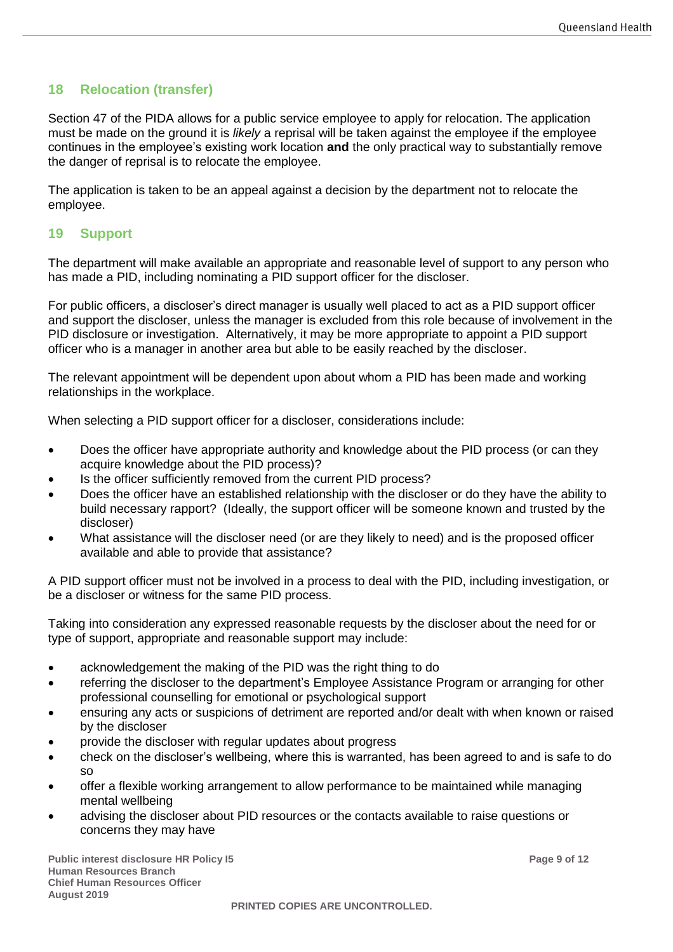# **18 Relocation (transfer)**

Section 47 of the PIDA allows for a public service employee to apply for relocation. The application must be made on the ground it is *likely* a reprisal will be taken against the employee if the employee continues in the employee's existing work location **and** the only practical way to substantially remove the danger of reprisal is to relocate the employee.

The application is taken to be an appeal against a decision by the department not to relocate the employee.

#### **19 Support**

The department will make available an appropriate and reasonable level of support to any person who has made a PID, including nominating a PID support officer for the discloser.

For public officers, a discloser's direct manager is usually well placed to act as a PID support officer and support the discloser, unless the manager is excluded from this role because of involvement in the PID disclosure or investigation. Alternatively, it may be more appropriate to appoint a PID support officer who is a manager in another area but able to be easily reached by the discloser.

The relevant appointment will be dependent upon about whom a PID has been made and working relationships in the workplace.

When selecting a PID support officer for a discloser, considerations include:

- Does the officer have appropriate authority and knowledge about the PID process (or can they acquire knowledge about the PID process)?
- Is the officer sufficiently removed from the current PID process?
- Does the officer have an established relationship with the discloser or do they have the ability to build necessary rapport? (Ideally, the support officer will be someone known and trusted by the discloser)
- What assistance will the discloser need (or are they likely to need) and is the proposed officer available and able to provide that assistance?

A PID support officer must not be involved in a process to deal with the PID, including investigation, or be a discloser or witness for the same PID process.

Taking into consideration any expressed reasonable requests by the discloser about the need for or type of support, appropriate and reasonable support may include:

- acknowledgement the making of the PID was the right thing to do
- referring the discloser to the department's Employee Assistance Program or arranging for other professional counselling for emotional or psychological support
- ensuring any acts or suspicions of detriment are reported and/or dealt with when known or raised by the discloser
- provide the discloser with regular updates about progress
- check on the discloser's wellbeing, where this is warranted, has been agreed to and is safe to do so
- offer a flexible working arrangement to allow performance to be maintained while managing mental wellbeing
- advising the discloser about PID resources or the contacts available to raise questions or concerns they may have

**Public interest disclosure HR Policy I5 Page 9 of 12 Human Resources Branch Chief Human Resources Officer August 2019**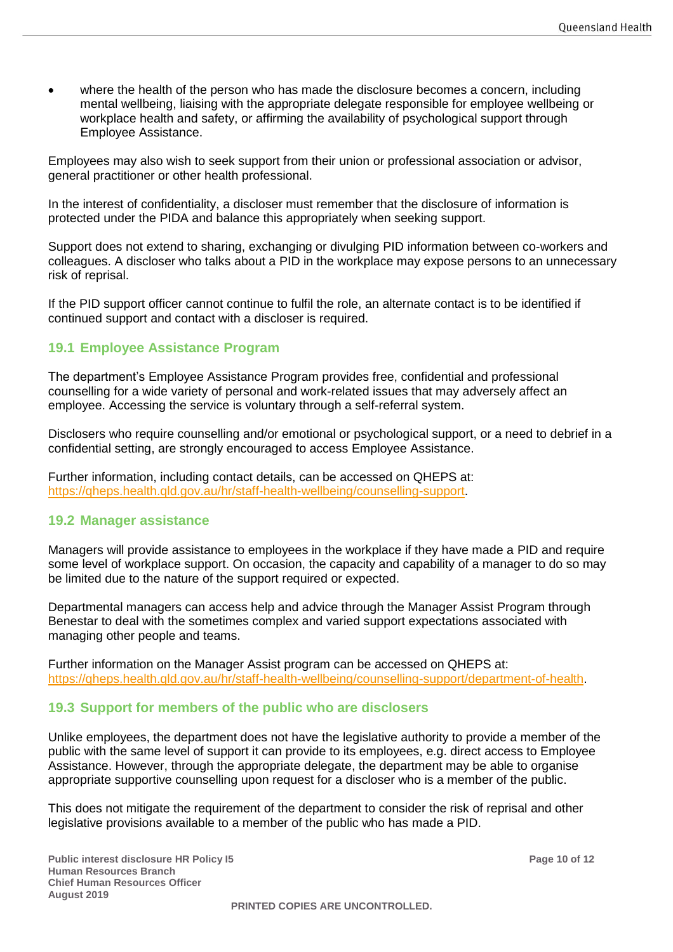• where the health of the person who has made the disclosure becomes a concern, including mental wellbeing, liaising with the appropriate delegate responsible for employee wellbeing or workplace health and safety, or affirming the availability of psychological support through Employee Assistance.

Employees may also wish to seek support from their union or professional association or advisor, general practitioner or other health professional.

In the interest of confidentiality, a discloser must remember that the disclosure of information is protected under the PIDA and balance this appropriately when seeking support.

Support does not extend to sharing, exchanging or divulging PID information between co-workers and colleagues. A discloser who talks about a PID in the workplace may expose persons to an unnecessary risk of reprisal.

If the PID support officer cannot continue to fulfil the role, an alternate contact is to be identified if continued support and contact with a discloser is required.

#### **19.1 Employee Assistance Program**

The department's Employee Assistance Program provides free, confidential and professional counselling for a wide variety of personal and work-related issues that may adversely affect an employee. Accessing the service is voluntary through a self-referral system.

Disclosers who require counselling and/or emotional or psychological support, or a need to debrief in a confidential setting, are strongly encouraged to access Employee Assistance.

Further information, including contact details, can be accessed on QHEPS at: [https://qheps.health.qld.gov.au/hr/staff-health-wellbeing/counselling-support.](https://qheps.health.qld.gov.au/hr/staff-health-wellbeing/counselling-support)

#### **19.2 Manager assistance**

Managers will provide assistance to employees in the workplace if they have made a PID and require some level of workplace support. On occasion, the capacity and capability of a manager to do so may be limited due to the nature of the support required or expected.

Departmental managers can access help and advice through the Manager Assist Program through Benestar to deal with the sometimes complex and varied support expectations associated with managing other people and teams.

Further information on the Manager Assist program can be accessed on QHEPS at: [https://qheps.health.qld.gov.au/hr/staff-health-wellbeing/counselling-support/department-of-health.](https://qheps.health.qld.gov.au/hr/staff-health-wellbeing/counselling-support/department-of-health)

#### **19.3 Support for members of the public who are disclosers**

Unlike employees, the department does not have the legislative authority to provide a member of the public with the same level of support it can provide to its employees, e.g. direct access to Employee Assistance. However, through the appropriate delegate, the department may be able to organise appropriate supportive counselling upon request for a discloser who is a member of the public.

This does not mitigate the requirement of the department to consider the risk of reprisal and other legislative provisions available to a member of the public who has made a PID.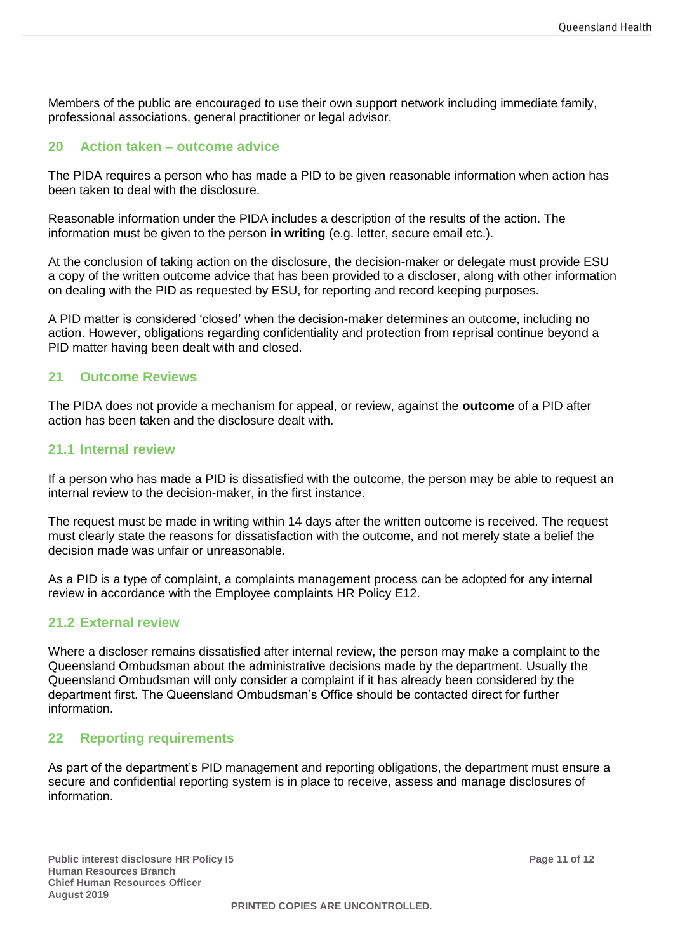Members of the public are encouraged to use their own support network including immediate family, professional associations, general practitioner or legal advisor.

#### **20 Action taken – outcome advice**

The PIDA requires a person who has made a PID to be given reasonable information when action has been taken to deal with the disclosure.

Reasonable information under the PIDA includes a description of the results of the action. The information must be given to the person **in writing** (e.g. letter, secure email etc.).

At the conclusion of taking action on the disclosure, the decision-maker or delegate must provide ESU a copy of the written outcome advice that has been provided to a discloser, along with other information on dealing with the PID as requested by ESU, for reporting and record keeping purposes.

A PID matter is considered 'closed' when the decision-maker determines an outcome, including no action. However, obligations regarding confidentiality and protection from reprisal continue beyond a PID matter having been dealt with and closed.

#### **21 Outcome Reviews**

The PIDA does not provide a mechanism for appeal, or review, against the **outcome** of a PID after action has been taken and the disclosure dealt with.

#### **21.1 Internal review**

If a person who has made a PID is dissatisfied with the outcome, the person may be able to request an internal review to the decision-maker, in the first instance.

The request must be made in writing within 14 days after the written outcome is received. The request must clearly state the reasons for dissatisfaction with the outcome, and not merely state a belief the decision made was unfair or unreasonable.

As a PID is a type of complaint, a complaints management process can be adopted for any internal review in accordance with the Employee complaints HR Policy E12.

#### **21.2 External review**

Where a discloser remains dissatisfied after internal review, the person may make a complaint to the Queensland Ombudsman about the administrative decisions made by the department. Usually the Queensland Ombudsman will only consider a complaint if it has already been considered by the department first. The Queensland Ombudsman's Office should be contacted direct for further information.

#### **22 Reporting requirements**

As part of the department's PID management and reporting obligations, the department must ensure a secure and confidential reporting system is in place to receive, assess and manage disclosures of information.